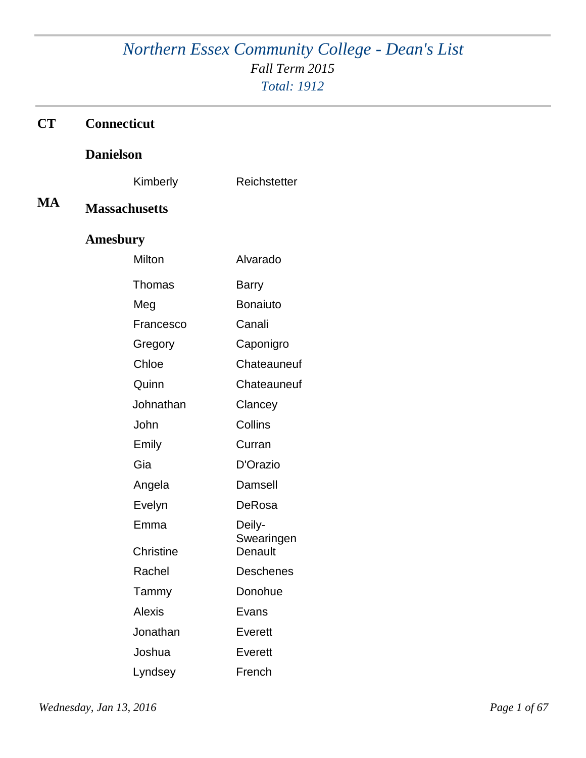# *Northern Essex Community College - Dean's List Fall Term 2015 Total: 1912*

| CT        | Connecticut          |                      |
|-----------|----------------------|----------------------|
|           | <b>Danielson</b>     |                      |
|           | Kimberly             | Reichstetter         |
| <b>MA</b> | <b>Massachusetts</b> |                      |
|           | <b>Amesbury</b>      |                      |
|           | Milton               | Alvarado             |
|           | Thomas               | <b>Barry</b>         |
|           | Meg                  | <b>Bonaiuto</b>      |
|           | Francesco            | Canali               |
|           | Gregory              | Caponigro            |
|           | Chloe                | Chateauneuf          |
|           | Quinn                | Chateauneuf          |
|           | Johnathan            | Clancey              |
|           | John                 | Collins              |
|           | Emily                | Curran               |
|           | Gia                  | D'Orazio             |
|           | Angela               | Damsell              |
|           | Evelyn               | DeRosa               |
|           | Emma                 | Deily-<br>Swearingen |
|           | Christine            | Denault              |
|           | Rachel               | Deschenes            |
|           | Tammy                | Donohue              |
|           | <b>Alexis</b>        | Evans                |
|           | Jonathan             | Everett              |
|           | Joshua               | Everett              |
|           | Lyndsey              | French               |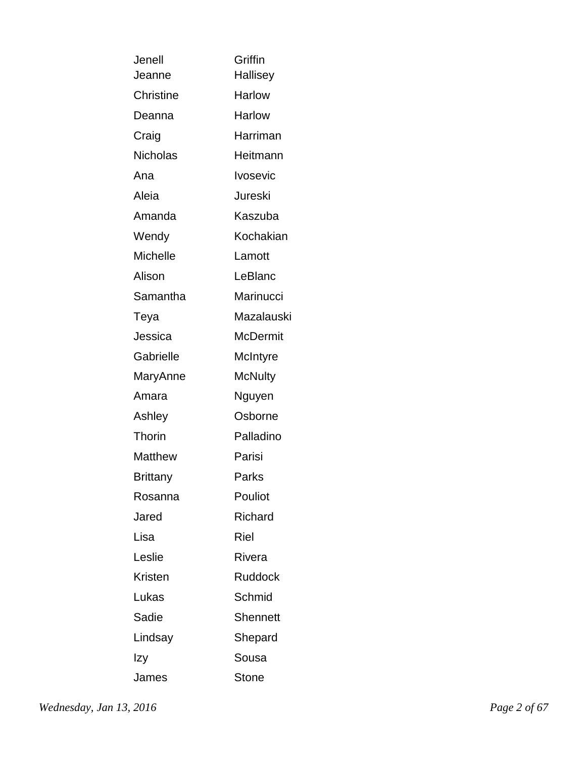| Jenell           | Griffin         |
|------------------|-----------------|
| Jeanne           | Hallisey        |
| <b>Christine</b> | <b>Harlow</b>   |
| Deanna           | <b>Harlow</b>   |
| Craig            | Harriman        |
| <b>Nicholas</b>  | Heitmann        |
| Ana              | <b>Ivosevic</b> |
| Aleia            | Jureski         |
| Amanda           | Kaszuba         |
| Wendy            | Kochakian       |
| <b>Michelle</b>  | Lamott          |
| Alison           | LeBlanc         |
| Samantha         | Marinucci       |
| Teya             | Mazalauski      |
| Jessica          | <b>McDermit</b> |
| Gabrielle        | McIntyre        |
| MaryAnne         | <b>McNulty</b>  |
| Amara            | Nguyen          |
| Ashley           | Osborne         |
| Thorin           | Palladino       |
| <b>Matthew</b>   | Parisi          |
| Brittany         | Parks           |
| Rosanna          | Pouliot         |
| Jared            | Richard         |
| Lisa             | Riel            |
| Leslie           | Rivera          |
| Kristen          | <b>Ruddock</b>  |
| Lukas            | Schmid          |
| Sadie            | <b>Shennett</b> |
| Lindsay          | Shepard         |
| Izy              | Sousa           |
| James            | <b>Stone</b>    |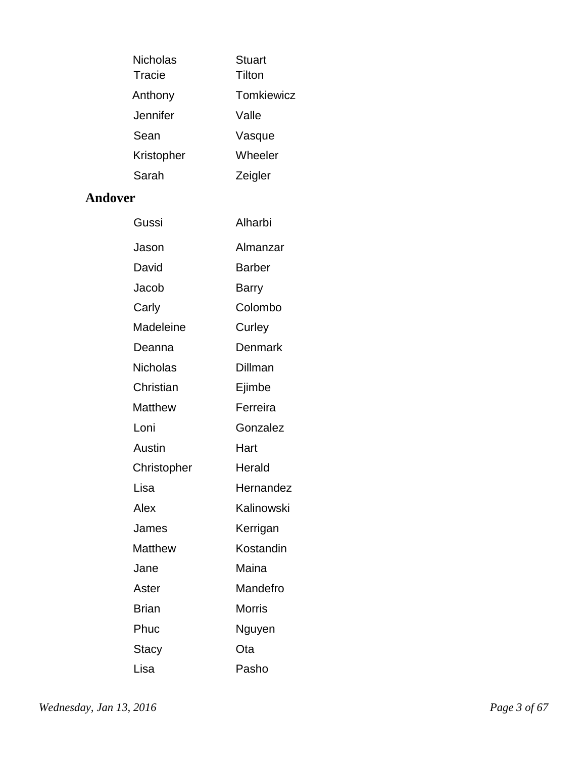| Nicholas   | <b>Stuart</b>     |
|------------|-------------------|
| Tracie     | Tilton            |
| Anthony    | <b>Tomkiewicz</b> |
| Jennifer   | Valle             |
| Sean       | Vasque            |
| Kristopher | Wheeler           |
| Sarah      | Zeigler           |

### **Andover**

| Gussi           | Alharbi       |
|-----------------|---------------|
| Jason           | Almanzar      |
| David           | <b>Barber</b> |
| Jacob           | Barry         |
| Carly           | Colombo       |
| Madeleine       | Curley        |
| Deanna          | Denmark       |
| <b>Nicholas</b> | Dillman       |
| Christian       | Ejimbe        |
| Matthew         | Ferreira      |
| Loni            | Gonzalez      |
| Austin          | Hart          |
| Christopher     | Herald        |
| Lisa            | Hernandez     |
| Alex            | Kalinowski    |
| James           | Kerrigan      |
| Matthew         | Kostandin     |
| Jane            | Maina         |
| Aster           | Mandefro      |
| <b>Brian</b>    | <b>Morris</b> |
| Phuc            | Nguyen        |
| Stacy           | Ota           |
| Lisa            | Pasho         |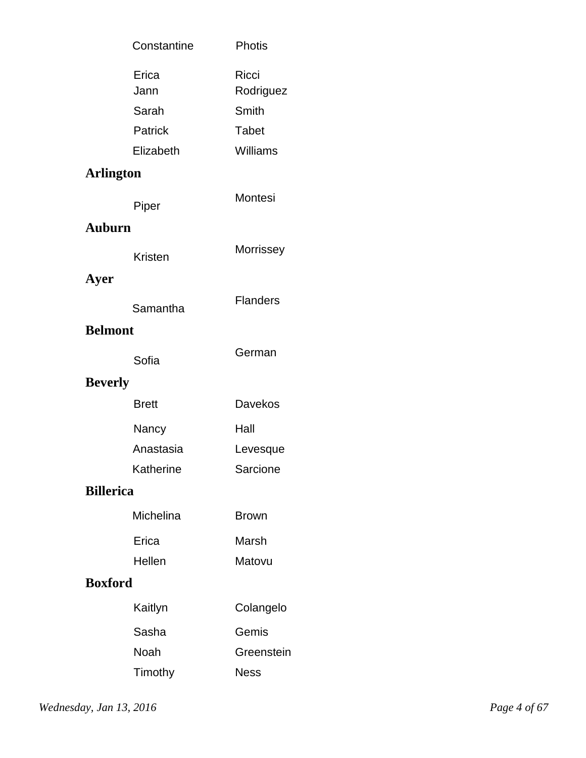|                  | Constantine   | <b>Photis</b>      |
|------------------|---------------|--------------------|
|                  | Erica<br>Jann | Ricci<br>Rodriguez |
|                  | Sarah         | Smith              |
|                  | Patrick       | <b>Tabet</b>       |
|                  | Elizabeth     | Williams           |
| <b>Arlington</b> |               |                    |
|                  | Piper         | Montesi            |
| <b>Auburn</b>    |               |                    |
|                  | Kristen       | Morrissey          |
| Ayer             | Samantha      | <b>Flanders</b>    |
| <b>Belmont</b>   |               |                    |
|                  | Sofia         | German             |
| <b>Beverly</b>   |               |                    |
|                  | <b>Brett</b>  | Davekos            |
|                  | Nancy         | Hall               |
|                  | Anastasia     | Levesque           |
|                  | Katherine     | Sarcione           |
| <b>Billerica</b> |               |                    |
|                  | Michelina     | <b>Brown</b>       |
|                  | Erica         | Marsh              |
|                  | Hellen        | Matovu             |
| <b>Boxford</b>   |               |                    |
|                  | Kaitlyn       | Colangelo          |
|                  | Sasha         | Gemis              |
|                  | Noah          | Greenstein         |
|                  | Timothy       | <b>Ness</b>        |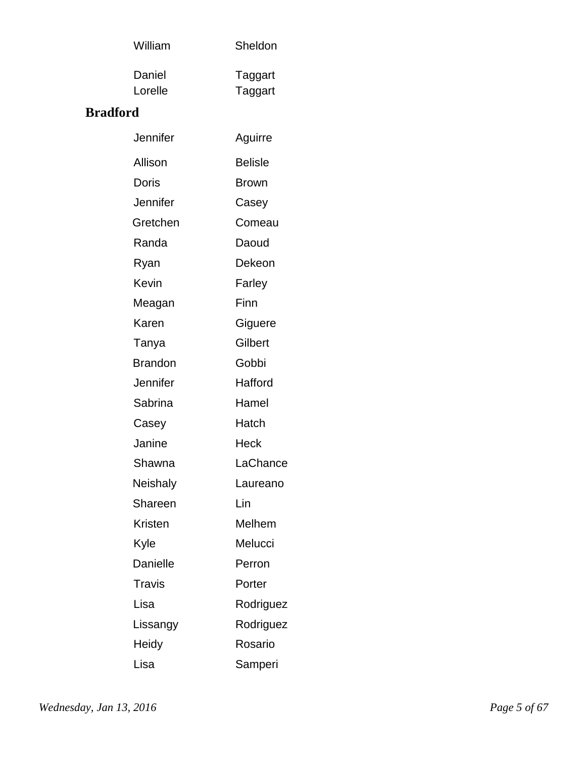| William | Sheldon |
|---------|---------|
| Daniel  | Taggart |
| Lorelle | Taggart |

### **Bradford**

| Jennifer       | Aguirre        |
|----------------|----------------|
| Allison        | <b>Belisle</b> |
| Doris          | <b>Brown</b>   |
| Jennifer       | Casey          |
| Gretchen       | Comeau         |
| Randa          | Daoud          |
| Ryan           | Dekeon         |
| Kevin          | Farley         |
| Meagan         | Finn           |
| Karen          | Giguere        |
| Tanya          | Gilbert        |
| <b>Brandon</b> | Gobbi          |
| Jennifer       | Hafford        |
| Sabrina        | Hamel          |
| Casey          | Hatch          |
| Janine         | Heck           |
| Shawna         | LaChance       |
| Neishaly       | Laureano       |
| Shareen        | Lin            |
| Kristen        | Melhem         |
| Kyle           | Melucci        |
| Danielle       | Perron         |
| Travis         | Porter         |
| Lisa           | Rodriguez      |
| Lissangy       | Rodriguez      |
| Heidy          | Rosario        |
| Lisa           | Samperi        |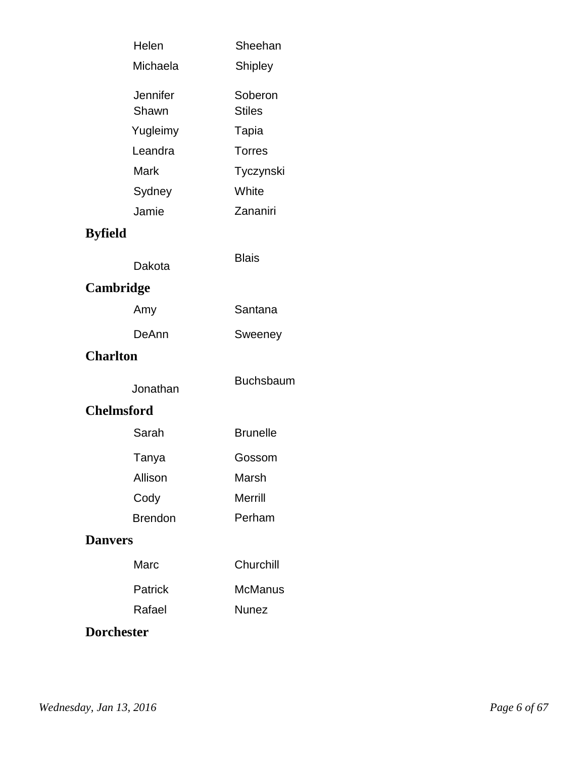|                   | Helen             | Sheehan                  |
|-------------------|-------------------|--------------------------|
|                   | Michaela          | Shipley                  |
|                   | Jennifer<br>Shawn | Soberon<br><b>Stiles</b> |
|                   | Yugleimy          | Tapia                    |
|                   | Leandra           | <b>Torres</b>            |
|                   | Mark              | Tyczynski                |
|                   | Sydney            | White                    |
|                   | Jamie             | Zananiri                 |
| <b>Byfield</b>    |                   |                          |
|                   | Dakota            | <b>Blais</b>             |
| Cambridge         |                   |                          |
|                   | Amy               | Santana                  |
|                   | DeAnn             | Sweeney                  |
| <b>Charlton</b>   |                   |                          |
|                   | Jonathan          | <b>Buchsbaum</b>         |
|                   | <b>Chelmsford</b> |                          |
|                   | Sarah             | <b>Brunelle</b>          |
|                   | Tanya             | Gossom                   |
|                   | Allison           | Marsh                    |
|                   | Cody              | <b>Merrill</b>           |
|                   | <b>Brendon</b>    | Perham                   |
| <b>Danvers</b>    |                   |                          |
|                   | Marc              | Churchill                |
|                   | Patrick           | <b>McManus</b>           |
|                   | Rafael            | <b>Nunez</b>             |
| <b>Dorchester</b> |                   |                          |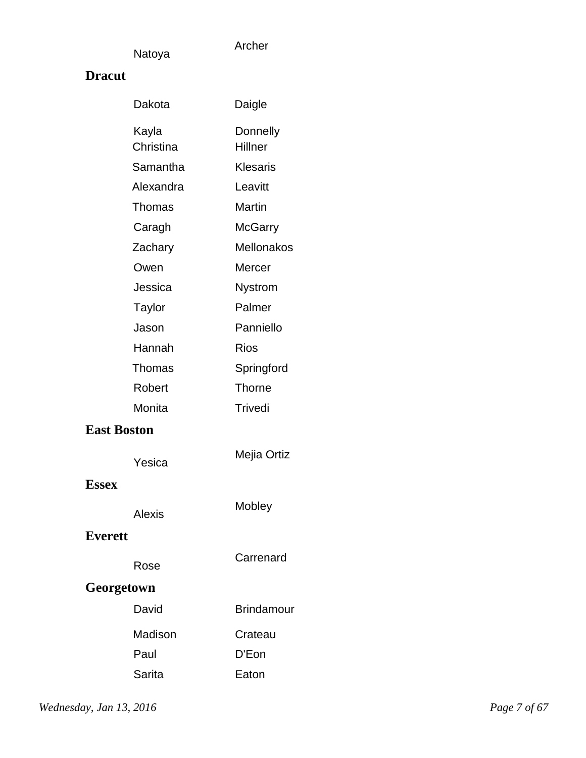Archer

### **Dracut**

| Dakota             | Daigle              |
|--------------------|---------------------|
| Kayla<br>Christina | Donnelly<br>Hillner |
| Samantha           | <b>Klesaris</b>     |
| Alexandra          | Leavitt             |
| Thomas             | Martin              |
| Caragh             | <b>McGarry</b>      |
| Zachary            | <b>Mellonakos</b>   |
| Owen               | Mercer              |
| Jessica            | <b>Nystrom</b>      |
| <b>Taylor</b>      | Palmer              |
| Jason              | Panniello           |
| Hannah             | <b>Rios</b>         |
| Thomas             | Springford          |
| Robert             | <b>Thorne</b>       |
| Monita             | Trivedi             |
| <b>East Boston</b> |                     |
| Yesica             | Mejia Ortiz         |
| <b>Essex</b>       |                     |
| Alexis             | Mobley              |
| <b>Everett</b>     |                     |
| Rose               | Carrenard           |
| Georgetown         |                     |
| David              | <b>Brindamour</b>   |
| Madison            | Crateau             |
| Paul               | D'Eon               |
| Sarita             | Eaton               |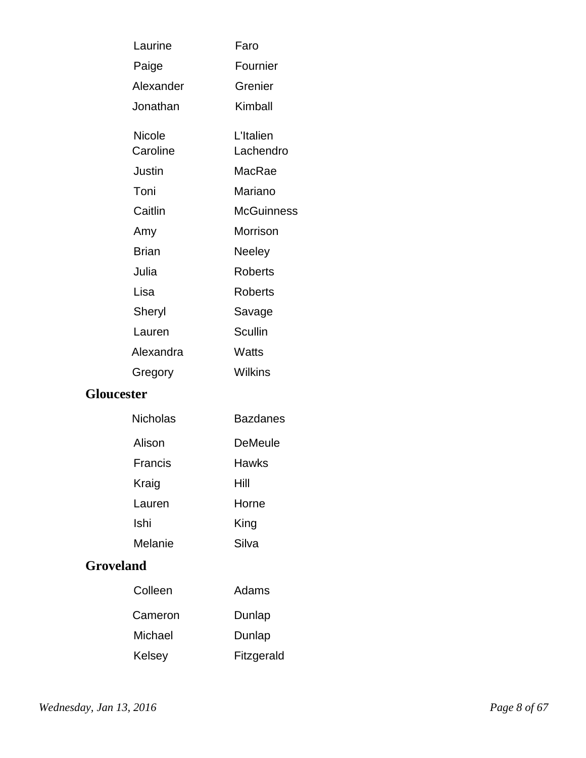| Laurine      | Faro              |
|--------------|-------------------|
| Paige        | Fournier          |
| Alexander    | Grenier           |
| Jonathan     | Kimball           |
| Nicole       | L'Italien         |
| Caroline     | Lachendro         |
| Justin       | MacRae            |
| Toni         | Mariano           |
| Caitlin      | <b>McGuinness</b> |
| Amy          | Morrison          |
| <b>Brian</b> | Neeley            |
| Julia        | <b>Roberts</b>    |
| Lisa         | <b>Roberts</b>    |
| Sheryl       | Savage            |
| Lauren       | <b>Scullin</b>    |
| Alexandra    | Watts             |
| Gregory      | Wilkins           |
|              |                   |

### **Gloucester**

| Nicholas | Bazdanes |
|----------|----------|
| Alison   | DeMeule  |
| Francis  | Hawks    |
| Kraig    | Hill     |
| Lauren   | Horne    |
| Ishi     | King     |
| Melanie  | Silva    |

### **Groveland**

| Colleen | Adams      |
|---------|------------|
| Cameron | Dunlap     |
| Michael | Dunlap     |
| Kelsey  | Fitzgerald |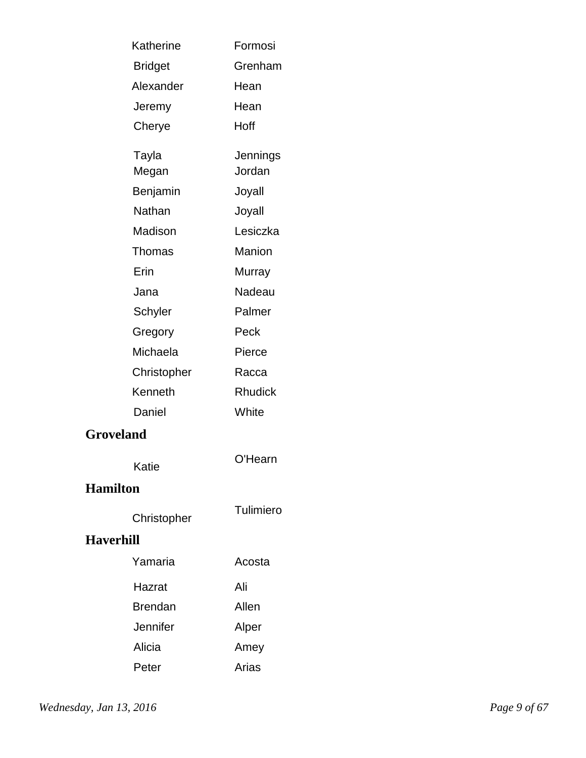| Katherine        | Formosi        |
|------------------|----------------|
| <b>Bridget</b>   | Grenham        |
| Alexander        | Hean           |
| Jeremy           | Hean           |
| Cherye           | Hoff           |
| Tayla            | Jennings       |
| Megan            | Jordan         |
| Benjamin         | Joyall         |
| Nathan           | Joyall         |
| Madison          | Lesiczka       |
| Thomas           | Manion         |
| Erin             | Murray         |
| Jana             | Nadeau         |
| Schyler          | Palmer         |
| Gregory          | Peck           |
| Michaela         | Pierce         |
| Christopher      | Racca          |
| Kenneth          | <b>Rhudick</b> |
| Daniel           | White          |
| <b>Groveland</b> |                |
| Katie            | O'Hearn        |
| <b>Hamilton</b>  |                |
| Christopher      | Tulimiero      |
| <b>Haverhill</b> |                |
| Yamaria          | Acosta         |
| Hazrat           | Ali            |
| <b>Brendan</b>   | Allen          |
| Jennifer         | Alper          |
| Alicia           | Amey           |
| Peter            | Arias          |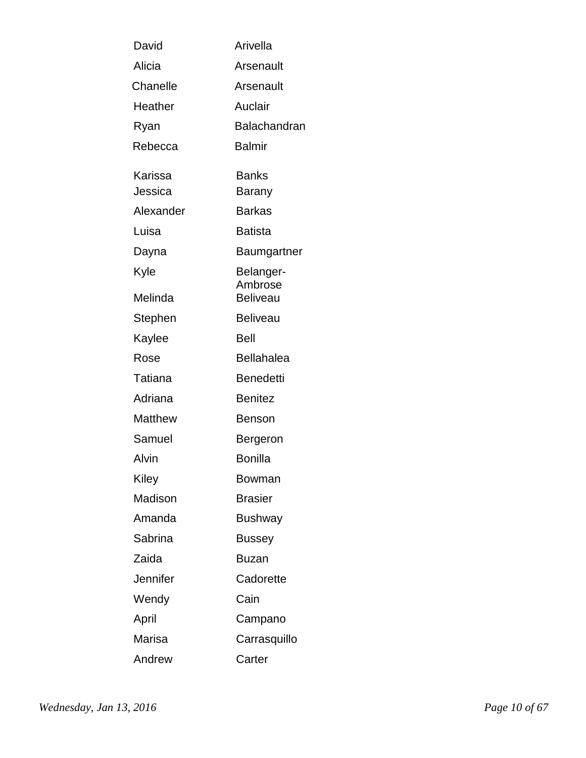| David          | Arivella             |
|----------------|----------------------|
| Alicia         | Arsenault            |
| Chanelle       | Arsenault            |
| Heather        | Auclair              |
| Ryan           | Balachandran         |
| Rebecca        | Balmir               |
| Karissa        | <b>Banks</b>         |
| Jessica        | Barany               |
| Alexander      | <b>Barkas</b>        |
| Luisa          | <b>Batista</b>       |
| Dayna          | Baumgartner          |
| Kyle           | Belanger-<br>Ambrose |
| Melinda        | <b>Beliveau</b>      |
| Stephen        | <b>Beliveau</b>      |
| Kaylee         | Bell                 |
| Rose           | <b>Bellahalea</b>    |
| Tatiana        | Benedetti            |
| Adriana        | <b>Benitez</b>       |
| <b>Matthew</b> | Benson               |
| Samuel         | Bergeron             |
| Alvin          | Bonilla              |
| Kiley          | Bowman               |
| Madison        | <b>Brasier</b>       |
| Amanda         | <b>Bushway</b>       |
| Sabrina        | Bussey               |
| Zaida          | Buzan                |
| Jennifer       | Cadorette            |
| Wendy          | Cain                 |
| April          | Campano              |
| Marisa         | Carrasquillo         |
| Andrew         | Carter               |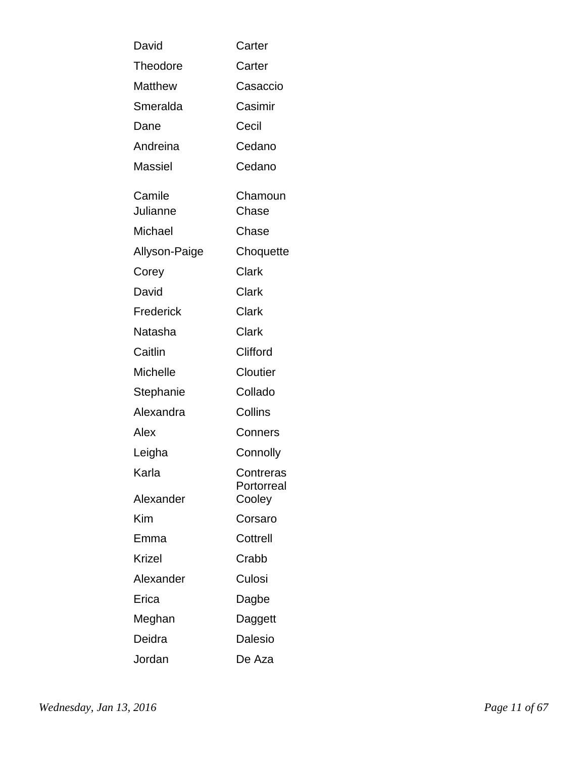| David              | Carter                  |
|--------------------|-------------------------|
| Theodore           | Carter                  |
| Matthew            | Casaccio                |
| Smeralda           | Casimir                 |
| Dane               | Cecil                   |
| Andreina           | Cedano                  |
| Massiel            | Cedano                  |
| Camile<br>Julianne | Chamoun<br>Chase        |
| Michael            | Chase                   |
| Allyson-Paige      | Choquette               |
| Corey              | Clark                   |
| David              | Clark                   |
| Frederick          | <b>Clark</b>            |
| Natasha            | Clark                   |
| Caitlin            | Clifford                |
| <b>Michelle</b>    | Cloutier                |
| Stephanie          | Collado                 |
| Alexandra          | Collins                 |
| Alex               | Conners                 |
| Leigha             | Connolly                |
| Karla              | Contreras<br>Portorreal |
| Alexander          | Cooley                  |
| Kim                | Corsaro                 |
| Emma               | Cottrell                |
| <b>Krizel</b>      | Crabb                   |
| Alexander          | Culosi                  |
| Erica              | Dagbe                   |
| Meghan             | Daggett                 |
| Deidra             | Dalesio                 |
| Jordan             | De Aza                  |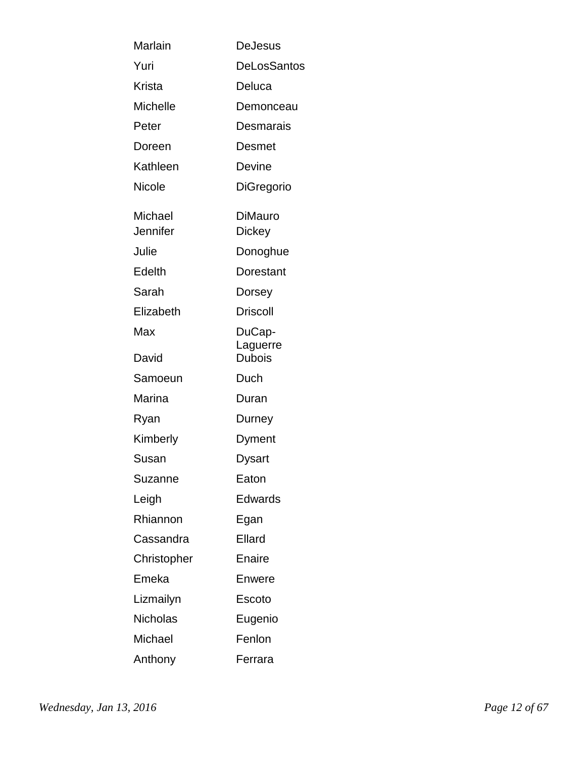| Marlain             | DeJesus                  |
|---------------------|--------------------------|
| Yuri                | DeLosSantos              |
| Krista              | Deluca                   |
| Michelle            | Demonceau                |
| Peter               | Desmarais                |
| Doreen              | Desmet                   |
| Kathleen            | Devine                   |
| Nicole              | DiGregorio               |
| Michael<br>Jennifer | DiMauro<br><b>Dickey</b> |
| Julie               | Donoghue                 |
| Edelth              | Dorestant                |
| Sarah               | Dorsey                   |
| Elizabeth           | <b>Driscoll</b>          |
| Max                 | DuCap-<br>Laguerre       |
| David               | <b>Dubois</b>            |
| Samoeun             | Duch                     |
| Marina              | Duran                    |
| Ryan                | Durney                   |
| Kimberly            | Dyment                   |
| Susan               | Dysart                   |
| Suzanne             | Eaton                    |
| Leigh               | Edwards                  |
| Rhiannon            | Egan                     |
| Cassandra           | Ellard                   |
| Christopher         | Enaire                   |
| Emeka               | Enwere                   |
| Lizmailyn           | Escoto                   |
| <b>Nicholas</b>     | Eugenio                  |
| Michael             | Fenlon                   |
| Anthony             | Ferrara                  |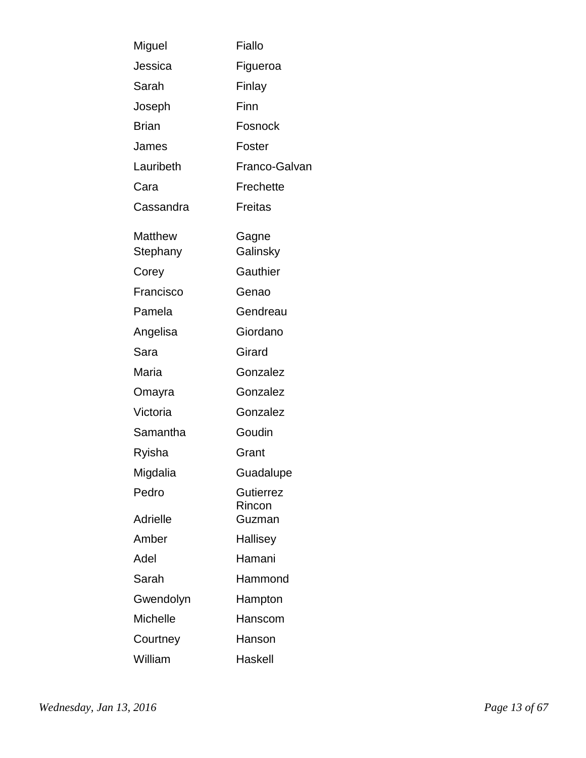| Miguel                     | Fiallo                     |
|----------------------------|----------------------------|
| Jessica                    | Figueroa                   |
| Sarah                      | Finlay                     |
| Joseph                     | Finn                       |
| <b>Brian</b>               | Fosnock                    |
| James                      | Foster                     |
| Lauribeth                  | Franco-Galvan              |
| Cara                       | Frechette                  |
| Cassandra                  | Freitas                    |
| <b>Matthew</b><br>Stephany | Gagne<br>Galinsky          |
| Corey                      | Gauthier                   |
| Francisco                  | Genao                      |
| Pamela                     | Gendreau                   |
| Angelisa                   | Giordano                   |
| Sara                       | Girard                     |
| Maria                      | Gonzalez                   |
| Omayra                     | Gonzalez                   |
| Victoria                   | Gonzalez                   |
| Samantha                   | Goudin                     |
| Ryisha                     | Grant                      |
| Migdalia                   | Guadalupe                  |
| Pedro                      | <b>Gutierrez</b><br>Rincon |
| Adrielle                   | Guzman                     |
| Amber                      | Hallisey                   |
| Adel                       | Hamani                     |
| Sarah                      | Hammond                    |
| Gwendolyn                  | Hampton                    |
| <b>Michelle</b>            | Hanscom                    |
| Courtney                   | Hanson                     |
| William                    | Haskell                    |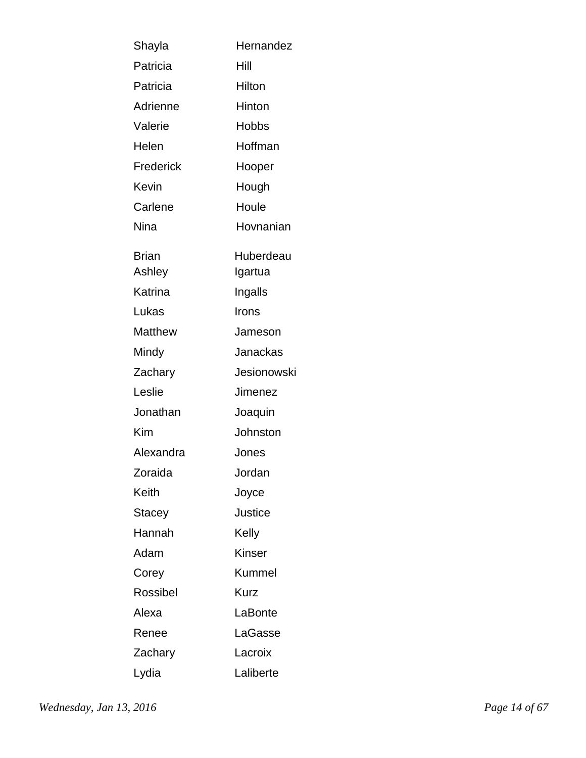| Shayla                 | Hernandez            |
|------------------------|----------------------|
| Patricia               | Hill                 |
| Patricia               | Hilton               |
| Adrienne               | Hinton               |
| Valerie                | <b>Hobbs</b>         |
| Helen                  | Hoffman              |
| Frederick              | Hooper               |
| Kevin                  | Hough                |
| Carlene                | Houle                |
| Nina                   | Hovnanian            |
| <b>Brian</b><br>Ashley | Huberdeau<br>Igartua |
| Katrina                | Ingalls              |
| Lukas                  | Irons                |
| Matthew                | Jameson              |
| Mindy                  | Janackas             |
| Zachary                | Jesionowski          |
| Leslie                 | Jimenez              |
| Jonathan               | Joaquin              |
| Kim                    | Johnston             |
| Alexandra              | Jones                |
| Zoraida                | Jordan               |
| Keith                  | Joyce                |
| Stacey                 | <b>Justice</b>       |
| Hannah                 | Kelly                |
| Adam                   | Kinser               |
| Corey                  | <b>Kummel</b>        |
| Rossibel               | Kurz                 |
| Alexa                  | LaBonte              |
| Renee                  | LaGasse              |
| Zachary                | Lacroix              |
| Lydia                  | Laliberte            |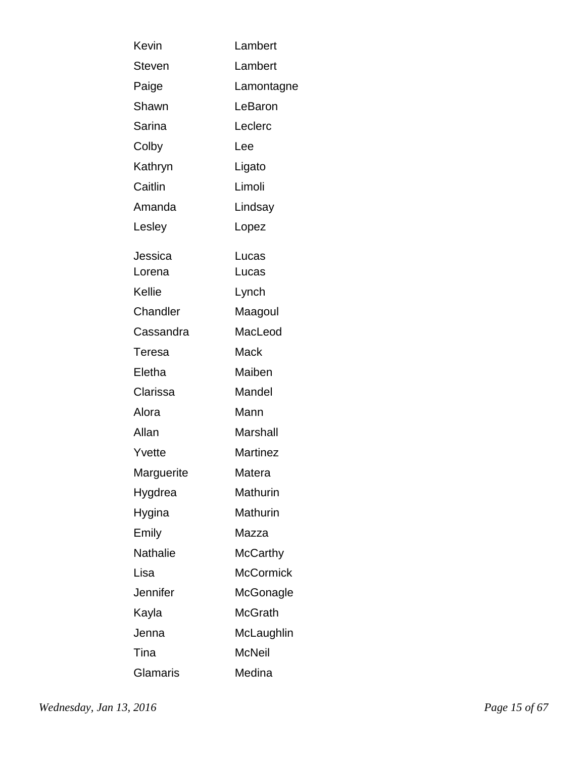| Kevin         | Lambert          |
|---------------|------------------|
| <b>Steven</b> | Lambert          |
| Paige         | Lamontagne       |
| Shawn         | LeBaron          |
| Sarina        | Leclerc          |
| Colby         | Lee              |
| Kathryn       | Ligato           |
| Caitlin       | Limoli           |
| Amanda        | Lindsay          |
| Lesley        | Lopez            |
| Jessica       | Lucas            |
| Lorena        | Lucas            |
| Kellie        | Lynch            |
| Chandler      | Maagoul          |
| Cassandra     | MacLeod          |
| Teresa        | Mack             |
| Eletha        | Maiben           |
| Clarissa      | Mandel           |
| Alora         | Mann             |
| Allan         | <b>Marshall</b>  |
| Yvette        | Martinez         |
| Marguerite    | Matera           |
| Hygdrea       | <b>Mathurin</b>  |
| Hygina        | Mathurin         |
| Emily         | Mazza            |
| Nathalie      | <b>McCarthy</b>  |
| Lisa          | <b>McCormick</b> |
| Jennifer      | McGonagle        |
| Kayla         | <b>McGrath</b>   |
| Jenna         | McLaughlin       |
| Tina          | <b>McNeil</b>    |
| Glamaris      | Medina           |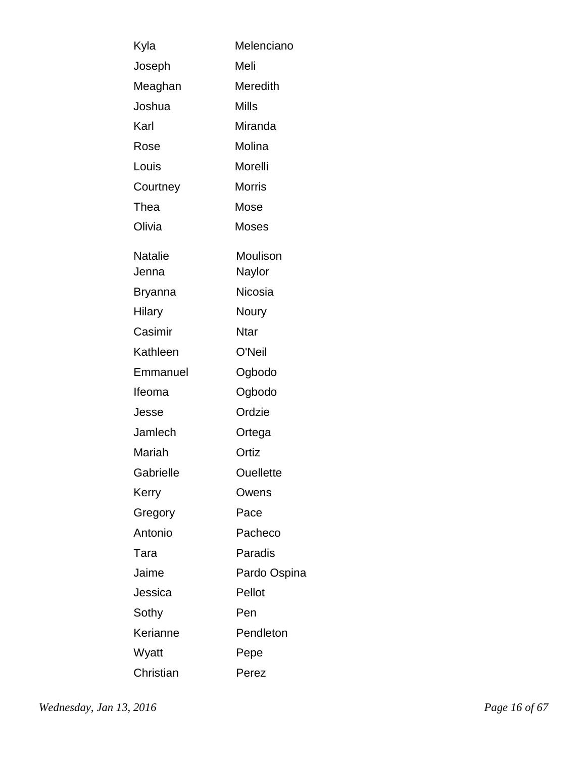| Kyla                    | Melenciano         |
|-------------------------|--------------------|
| Joseph                  | Meli               |
| Meaghan                 | Meredith           |
| Joshua                  | Mills              |
| Karl                    | Miranda            |
| Rose                    | Molina             |
| Louis                   | Morelli            |
| Courtney                | <b>Morris</b>      |
| Thea                    | Mose               |
| Olivia                  | <b>Moses</b>       |
| <b>Natalie</b><br>Jenna | Moulison<br>Naylor |
| Bryanna                 | <b>Nicosia</b>     |
| Hilary                  | Noury              |
| Casimir                 | <b>Ntar</b>        |
| Kathleen                | O'Neil             |
| Emmanuel                | Ogbodo             |
| Ifeoma                  | Ogbodo             |
| Jesse                   | Ordzie             |
| Jamlech                 | Ortega             |
| Mariah                  | Ortiz              |
| Gabrielle               | <b>Ouellette</b>   |
| Kerry                   | Owens              |
| Gregory                 | Pace               |
| Antonio                 | Pacheco            |
| Tara                    | Paradis            |
| Jaime                   | Pardo Ospina       |
| Jessica                 | Pellot             |
| Sothy                   | Pen                |
| Kerianne                | Pendleton          |
| Wyatt                   | Pepe               |
| Christian               | Perez              |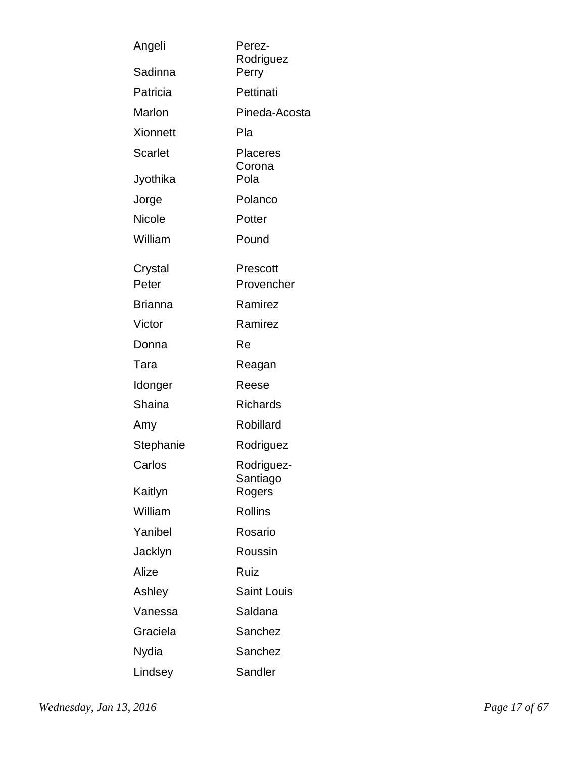| Angeli           | Perez-<br>Rodriguez       |
|------------------|---------------------------|
| Sadinna          | Perry                     |
| Patricia         | Pettinati                 |
| Marlon           | Pineda-Acosta             |
| <b>Xionnett</b>  | Pla                       |
| Scarlet          | <b>Placeres</b><br>Corona |
| Jyothika         | Pola                      |
| Jorge            | Polanco                   |
| <b>Nicole</b>    | Potter                    |
| William          | Pound                     |
| Crystal<br>Peter | Prescott<br>Provencher    |
| <b>Brianna</b>   | Ramirez                   |
| Victor           | Ramirez                   |
| Donna            | Re                        |
| Tara             | Reagan                    |
| Idonger          | Reese                     |
| Shaina           | <b>Richards</b>           |
| Amy              | Robillard                 |
| Stephanie        | Rodriguez                 |
| Carlos           | Rodriguez-<br>Santiago    |
| Kaitlyn          | Rogers                    |
| William          | <b>Rollins</b>            |
| Yanibel          | Rosario                   |
| Jacklyn          | Roussin                   |
| Alize            | Ruiz                      |
| Ashley           | <b>Saint Louis</b>        |
| Vanessa          | Saldana                   |
| Graciela         | Sanchez                   |
| Nydia            | Sanchez                   |
| Lindsey          | Sandler                   |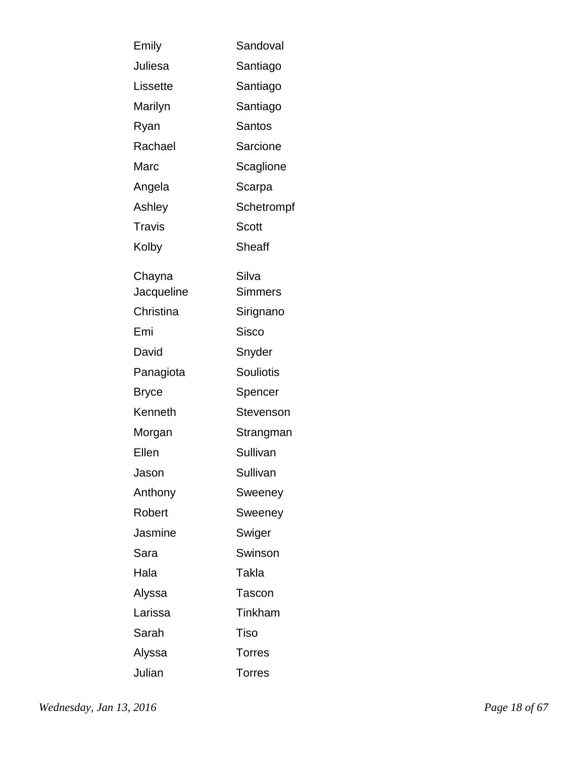| Emily      | Sandoval         |
|------------|------------------|
| Juliesa    | Santiago         |
| Lissette   | Santiago         |
| Marilyn    | Santiago         |
| Ryan       | <b>Santos</b>    |
| Rachael    | Sarcione         |
| Marc       | Scaglione        |
| Angela     | Scarpa           |
| Ashley     | Schetrompf       |
| Travis     | Scott            |
| Kolby      | <b>Sheaff</b>    |
| Chayna     | Silva            |
| Jacqueline | <b>Simmers</b>   |
| Christina  | Sirignano        |
| Emi        | <b>Sisco</b>     |
| David      | Snyder           |
| Panagiota  | <b>Souliotis</b> |
| Bryce      | Spencer          |
| Kenneth    | Stevenson        |
| Morgan     | Strangman        |
| Ellen      | Sullivan         |
| Jason      | Sullivan         |
| Anthony    | Sweeney          |
| Robert     | Sweeney          |
| Jasmine    | Swiger           |
| Sara       | Swinson          |
| Hala       | Takla            |
| Alyssa     | <b>Tascon</b>    |
| Larissa    | Tinkham          |
| Sarah      | <b>Tiso</b>      |
| Alyssa     | <b>Torres</b>    |
| Julian     | <b>Torres</b>    |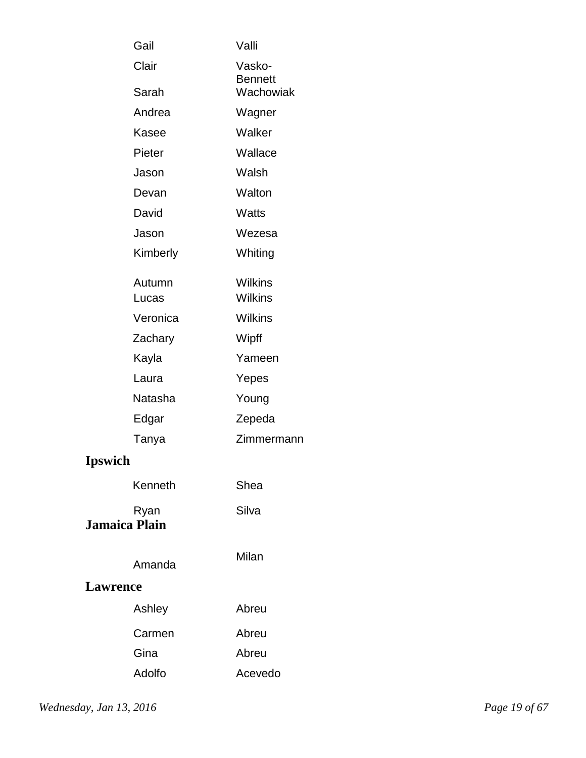| Gail                         | Valli                    |
|------------------------------|--------------------------|
| Clair                        | Vasko-<br><b>Bennett</b> |
| Sarah                        | Wachowiak                |
| Andrea                       | Wagner                   |
| Kasee                        | Walker                   |
| Pieter                       | Wallace                  |
| Jason                        | Walsh                    |
| Devan                        | Walton                   |
| David                        | Watts                    |
| Jason                        | Wezesa                   |
| Kimberly                     | Whiting                  |
| Autumn                       | Wilkins                  |
| Lucas                        | <b>Wilkins</b>           |
| Veronica                     | <b>Wilkins</b>           |
| Zachary                      | Wipff                    |
| Kayla                        | Yameen                   |
| Laura                        | Yepes                    |
| Natasha                      | Young                    |
| Edgar                        | Zepeda                   |
| Tanya                        | Zimmermann               |
| <b>Ipswich</b>               |                          |
| Kenneth                      | Shea                     |
| Ryan<br><b>Jamaica Plain</b> | Silva                    |
| Amanda                       | Milan                    |
| <b>Lawrence</b>              |                          |
| Ashley                       | Abreu                    |
| Carmen                       | Abreu                    |
| Gina                         | Abreu                    |
| Adolfo                       | Acevedo                  |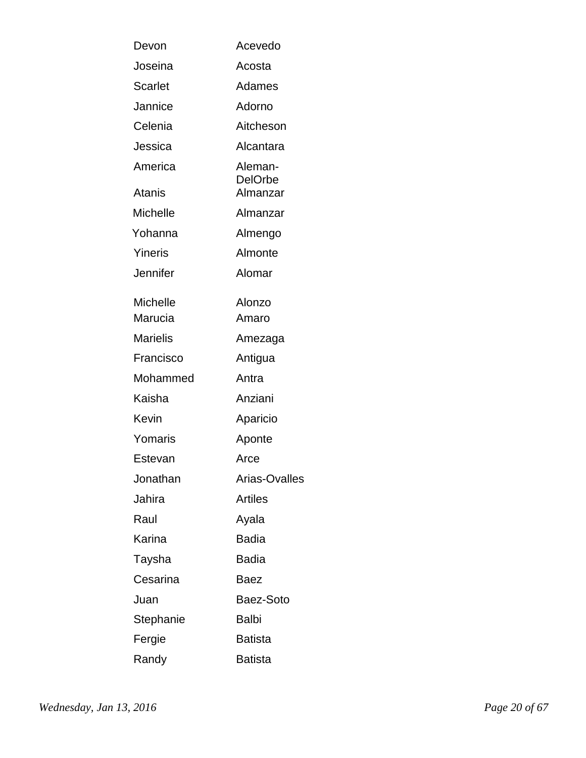| Devon                      | Acevedo                   |
|----------------------------|---------------------------|
| Joseina                    | Acosta                    |
| <b>Scarlet</b>             | Adames                    |
| Jannice                    | Adorno                    |
| Celenia                    | Aitcheson                 |
| Jessica                    | Alcantara                 |
| America                    | Aleman-<br><b>DelOrbe</b> |
| Atanis                     | Almanzar                  |
| <b>Michelle</b>            | Almanzar                  |
| Yohanna                    | Almengo                   |
| Yineris                    | Almonte                   |
| Jennifer                   | Alomar                    |
| <b>Michelle</b><br>Marucia | Alonzo<br>Amaro           |
| <b>Marielis</b>            | Amezaga                   |
| Francisco                  | Antigua                   |
| Mohammed                   | Antra                     |
| Kaisha                     | Anziani                   |
| Kevin                      | Aparicio                  |
| Yomaris                    | Aponte                    |
| Estevan                    | Arce                      |
| Jonathan                   | Arias-Ovalles             |
| Jahira                     | <b>Artiles</b>            |
| Raul                       | Ayala                     |
| Karina                     | <b>Badia</b>              |
| Taysha                     | Badia                     |
| Cesarina                   | Baez                      |
| Juan                       | Baez-Soto                 |
| Stephanie                  | <b>Balbi</b>              |
| Fergie                     | <b>Batista</b>            |
| Randy                      | <b>Batista</b>            |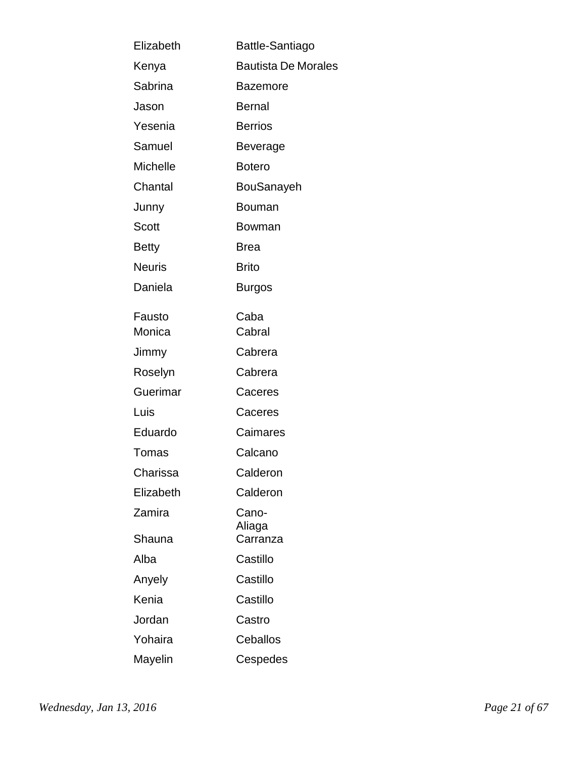| Elizabeth     | Battle-Santiago            |
|---------------|----------------------------|
| Kenya         | <b>Bautista De Morales</b> |
| Sabrina       | <b>Bazemore</b>            |
| Jason         | <b>Bernal</b>              |
| Yesenia       | <b>Berrios</b>             |
| Samuel        | Beverage                   |
| Michelle      | <b>Botero</b>              |
| Chantal       | BouSanayeh                 |
| Junny         | Bouman                     |
| Scott         | Bowman                     |
| <b>Betty</b>  | <b>Brea</b>                |
| <b>Neuris</b> | <b>Brito</b>               |
| Daniela       | Burgos                     |
| Fausto        | Caba                       |
| Monica        | Cabral                     |
| Jimmy         | Cabrera                    |
| Roselyn       | Cabrera                    |
| Guerimar      | Caceres                    |
| Luis          | Caceres                    |
| Eduardo       | Caimares                   |
| Tomas         | Calcano                    |
| Charissa      | Calderon                   |
| Elizabeth     | Calderon                   |
| Zamira        | Cano-<br>Aliaga            |
| Shauna        | Carranza                   |
| Alba          | Castillo                   |
| Anyely        | Castillo                   |
| Kenia         | Castillo                   |
| Jordan        | Castro                     |
| Yohaira       | Ceballos                   |
| Mayelin       | Cespedes                   |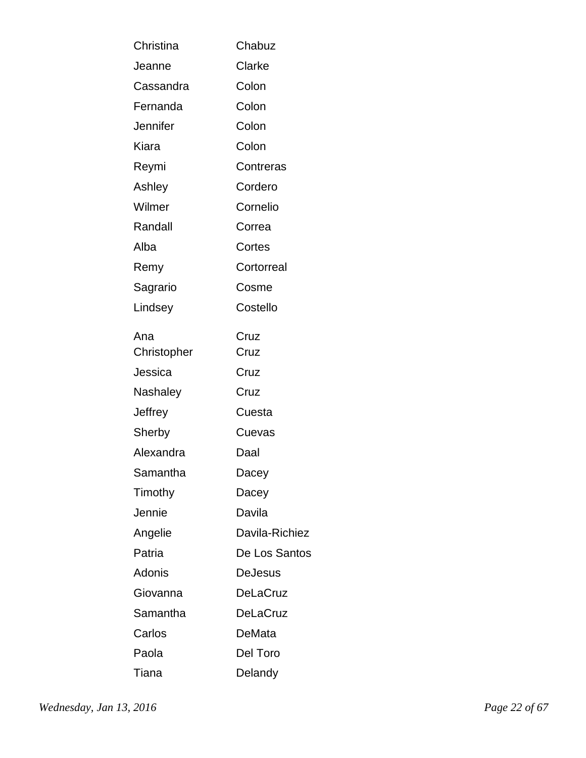| Christina   | Chabuz          |
|-------------|-----------------|
| Jeanne      | Clarke          |
| Cassandra   | Colon           |
| Fernanda    | Colon           |
| Jennifer    | Colon           |
| Kiara       | Colon           |
| Reymi       | Contreras       |
| Ashley      | Cordero         |
| Wilmer      | Cornelio        |
| Randall     | Correa          |
| Alba        | Cortes          |
| Remy        | Cortorreal      |
| Sagrario    | Cosme           |
| Lindsey     | Costello        |
| Ana         | Cruz            |
| Christopher | Cruz            |
| Jessica     | Cruz            |
| Nashaley    | Cruz            |
| Jeffrey     | Cuesta          |
| Sherby      | Cuevas          |
| Alexandra   | Daal            |
| Samantha    | Dacey           |
| Timothy     | Dacey           |
| Jennie      | Davila          |
| Angelie     | Davila-Richiez  |
| Patria      | De Los Santos   |
| Adonis      | DeJesus         |
| Giovanna    | <b>DeLaCruz</b> |
| Samantha    | <b>DeLaCruz</b> |
| Carlos      | DeMata          |
| Paola       | Del Toro        |
| Tiana       | Delandy         |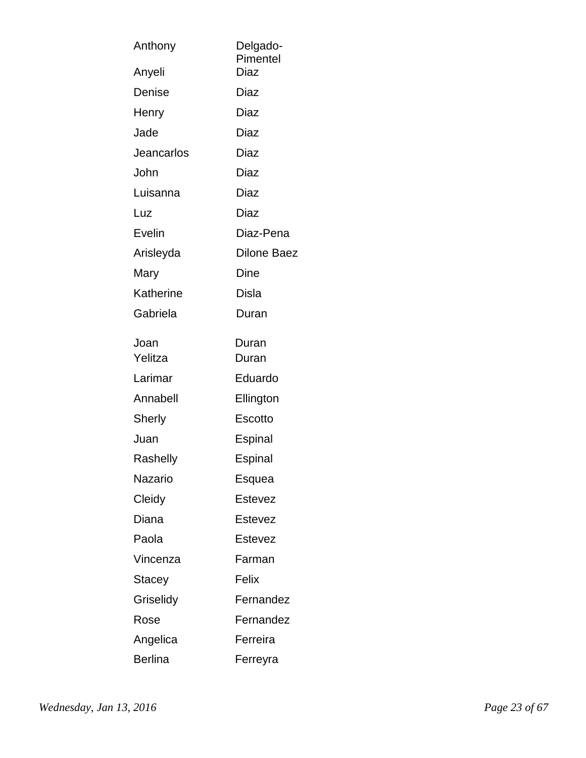| Anthony           | Delgado-<br>Pimentel |
|-------------------|----------------------|
| Anyeli            | Diaz                 |
| Denise            | Diaz                 |
| Henry             | Diaz                 |
| Jade              | Diaz                 |
| <b>Jeancarlos</b> | Diaz                 |
| John              | Diaz                 |
| Luisanna          | Diaz                 |
| Luz               | Diaz                 |
| Evelin            | Diaz-Pena            |
| Arisleyda         | <b>Dilone Baez</b>   |
| Mary              | Dine                 |
| Katherine         | Disla                |
| Gabriela          | Duran                |
| Joan              | Duran                |
| Yelitza           | Duran                |
| Larimar           | Eduardo              |
| Annabell          | Ellington            |
| Sherly            | Escotto              |
| Juan              | Espinal              |
| Rashelly          | Espinal              |
| Nazario           | Esquea               |
| Cleidy            | Estevez              |
| Diana             | Estevez              |
| Paola             | <b>Estevez</b>       |
| Vincenza          | Farman               |
| Stacey            | Felix                |
| Griselidy         | Fernandez            |
| Rose              | Fernandez            |
| Angelica          | Ferreira             |
| <b>Berlina</b>    | Ferreyra             |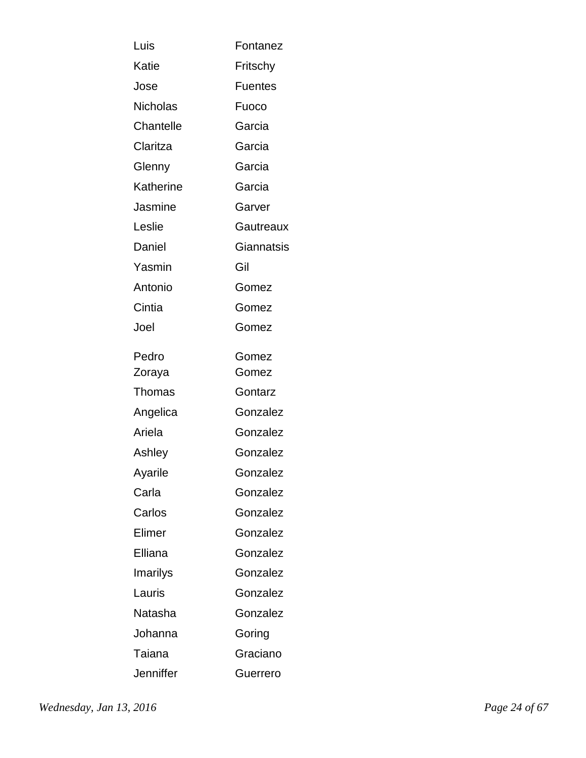| Luis            | Fontanez       |
|-----------------|----------------|
| Katie           | Fritschy       |
| Jose            | <b>Fuentes</b> |
| <b>Nicholas</b> | Fuoco          |
| Chantelle       | Garcia         |
| Claritza        | Garcia         |
| Glenny          | Garcia         |
| Katherine       | Garcia         |
| Jasmine         | Garver         |
| Leslie          | Gautreaux      |
| Daniel          | Giannatsis     |
| Yasmin          | Gil            |
| Antonio         | Gomez          |
| Cintia          | Gomez          |
| Joel            | Gomez          |
| Pedro           | Gomez          |
| Zoraya          | Gomez          |
| <b>Thomas</b>   | Gontarz        |
| Angelica        | Gonzalez       |
| Ariela          | Gonzalez       |
| Ashley          | Gonzalez       |
| Ayarile         | Gonzalez       |
| Carla           | Gonzalez       |
| Carlos          | Gonzalez       |
| Elimer          | Gonzalez       |
| Elliana         | Gonzalez       |
| Imarilys        | Gonzalez       |
| Lauris          | Gonzalez       |
| Natasha         | Gonzalez       |
| Johanna         | Goring         |
| Taiana          | Graciano       |
| Jenniffer       | Guerrero       |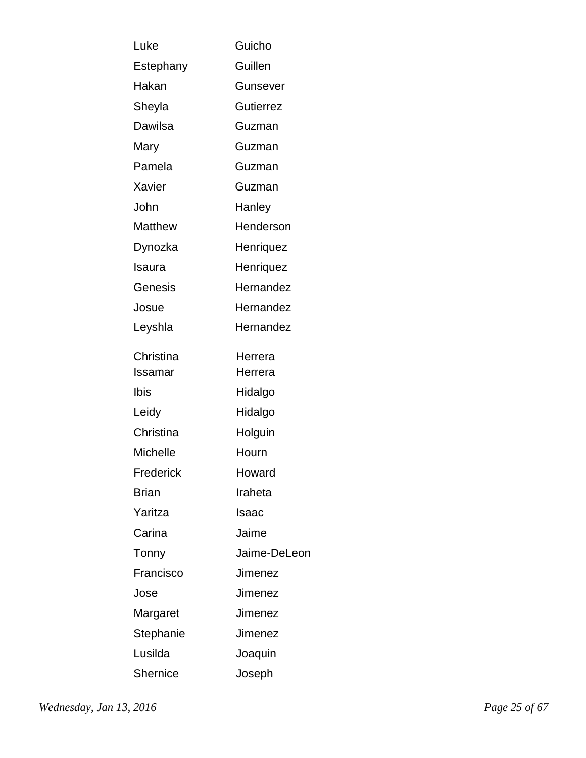| Luke         | Guicho           |
|--------------|------------------|
| Estephany    | Guillen          |
| Hakan        | Gunsever         |
| Sheyla       | <b>Gutierrez</b> |
| Dawilsa      | Guzman           |
| Mary         | Guzman           |
| Pamela       | Guzman           |
| Xavier       | Guzman           |
| John         | Hanley           |
| Matthew      | Henderson        |
| Dynozka      | Henriquez        |
| Isaura       | Henriquez        |
| Genesis      | Hernandez        |
| Josue        | Hernandez        |
| Leyshla      | Hernandez        |
| Christina    | Herrera          |
| Issamar      | Herrera          |
| Ibis         | Hidalgo          |
| Leidy        | Hidalgo          |
| Christina    | Holguin          |
| Michelle     | Hourn            |
| Frederick    | Howard           |
| <b>Brian</b> | Iraheta          |
| Yaritza      | Isaac            |
| Carina       | Jaime            |
| Tonny        | Jaime-DeLeon     |
| Francisco    | Jimenez          |
| Jose         | Jimenez          |
| Margaret     | Jimenez          |
| Stephanie    | Jimenez          |
| Lusilda      | Joaquin          |
| Shernice     | Joseph           |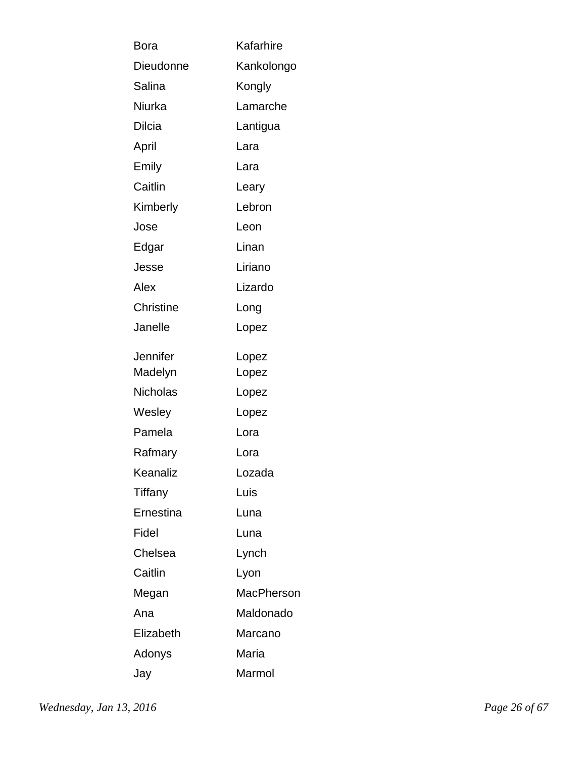| Bora             | Kafarhire         |
|------------------|-------------------|
| Dieudonne        | Kankolongo        |
| Salina           | Kongly            |
| Niurka           | Lamarche          |
| Dilcia           | Lantigua          |
| April            | Lara              |
| Emily            | Lara              |
| Caitlin          | Leary             |
| Kimberly         | Lebron            |
| Jose             | Leon              |
| Edgar            | Linan             |
| Jesse            | Liriano           |
| Alex             | Lizardo           |
| <b>Christine</b> | Long              |
| Janelle          | Lopez             |
| Jennifer         | Lopez             |
| Madelyn          | Lopez             |
| Nicholas         | Lopez             |
| Wesley           | Lopez             |
| Pamela           | Lora              |
| Rafmary          | Lora              |
| Keanaliz         | Lozada            |
| Tiffany          | Luis              |
| Ernestina        | Luna              |
| Fidel            | Luna              |
| Chelsea          | Lynch             |
| Caitlin          | Lyon              |
| Megan            | <b>MacPherson</b> |
| Ana              | Maldonado         |
| Elizabeth        | Marcano           |
| Adonys           | Maria             |
| Jay              | Marmol            |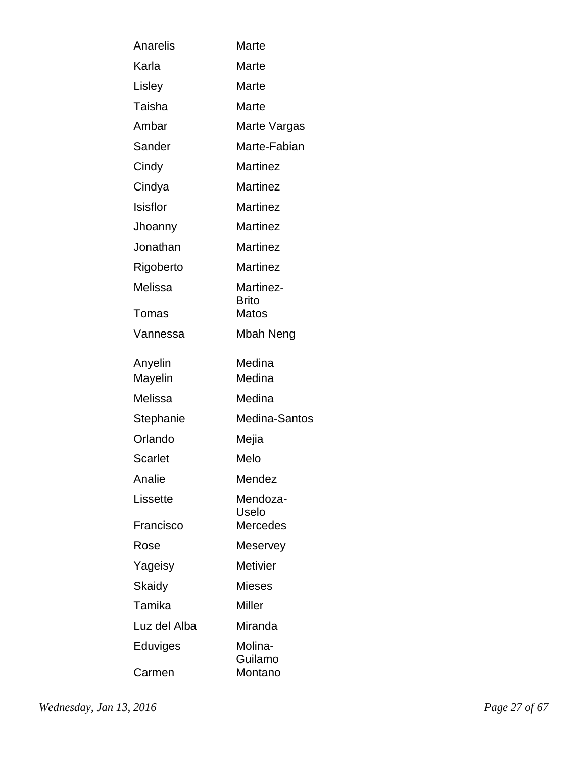| Anarelis           | Marte                     |
|--------------------|---------------------------|
| Karla              | Marte                     |
| Lisley             | Marte                     |
| Taisha             | Marte                     |
| Ambar              | Marte Vargas              |
| Sander             | Marte-Fabian              |
| Cindy              | <b>Martinez</b>           |
| Cindya             | <b>Martinez</b>           |
| Isisflor           | <b>Martinez</b>           |
| Jhoanny            | <b>Martinez</b>           |
| Jonathan           | <b>Martinez</b>           |
| Rigoberto          | <b>Martinez</b>           |
| Melissa            | Martinez-<br><b>Brito</b> |
| Tomas              | Matos                     |
| Vannessa           | Mbah Neng                 |
| Anyelin<br>Mayelin | Medina<br>Medina          |
| Melissa            | Medina                    |
| Stephanie          | Medina-Santos             |
| Orlando            | Mejia                     |
| <b>Scarlet</b>     | Melo                      |
| Analie             | Mendez                    |
| Lissette           | Mendoza-<br>Uselo         |
| Francisco          | Mercedes                  |
| Rose               | Meservey                  |
| Yageisy            | <b>Metivier</b>           |
| Skaidy             | <b>Mieses</b>             |
| Tamika             | Miller                    |
| Luz del Alba       | Miranda                   |
| Eduviges           | Molina-<br>Guilamo        |
| Carmen             | Montano                   |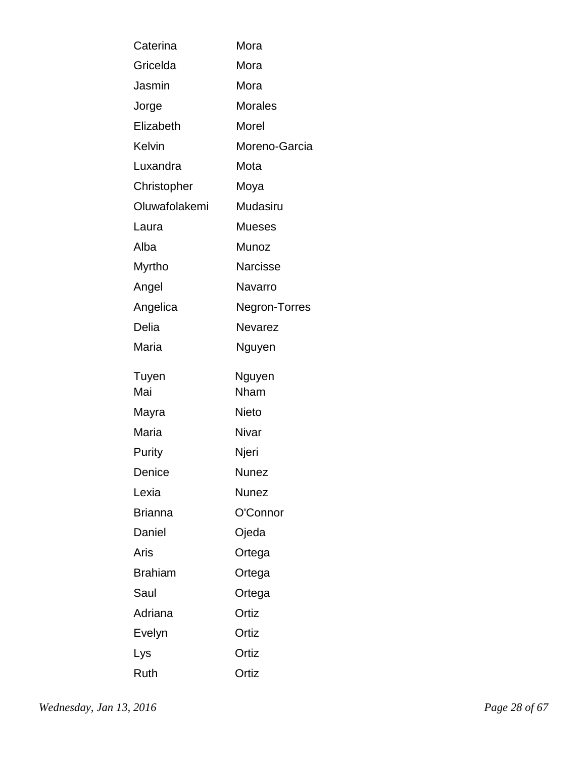| Caterina       | Mora           |
|----------------|----------------|
| Gricelda       | Mora           |
| Jasmin         | Mora           |
| Jorge          | <b>Morales</b> |
| Elizabeth      | Morel          |
| Kelvin         | Moreno-Garcia  |
| Luxandra       | Mota           |
| Christopher    | Moya           |
| Oluwafolakemi  | Mudasiru       |
| Laura          | <b>Mueses</b>  |
| Alba           | Munoz          |
| Myrtho         | Narcisse       |
| Angel          | Navarro        |
| Angelica       | Negron-Torres  |
| Delia          | Nevarez        |
| Maria          | Nguyen         |
| Tuyen          | Nguyen         |
| Mai            | Nham           |
| Mayra          | Nieto          |
| Maria          | Nivar          |
| Purity         | Njeri          |
| Denice         | <b>Nunez</b>   |
| Lexia          | <b>Nunez</b>   |
| <b>Brianna</b> | O'Connor       |
| Daniel         | Ojeda          |
| Aris           | Ortega         |
| <b>Brahiam</b> | Ortega         |
| Saul           | Ortega         |
| Adriana        | Ortiz          |
| Evelyn         | Ortiz          |
| Lys            | Ortiz          |
| Ruth           | Ortiz          |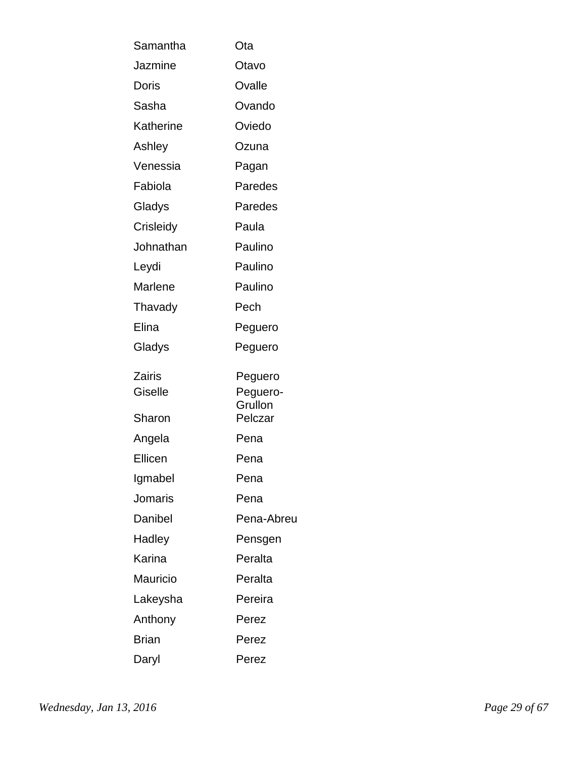| Samantha       | Ota                 |
|----------------|---------------------|
| Jazmine        | Otavo               |
| Doris          | Ovalle              |
| Sasha          | Ovando              |
| Katherine      | Oviedo              |
| Ashley         | Ozuna               |
| Venessia       | Pagan               |
| Fabiola        | Paredes             |
| Gladys         | Paredes             |
| Crisleidy      | Paula               |
| Johnathan      | Paulino             |
| Leydi          | Paulino             |
| <b>Marlene</b> | Paulino             |
| Thavady        | Pech                |
| Elina          | Peguero             |
| Gladys         | Peguero             |
| Zairis         | Peguero             |
| Giselle        | Peguero-<br>Grullon |
| Sharon         | Pelczar             |
| Angela         | Pena                |
| Ellicen        | Pena                |
| Igmabel        | Pena                |
| Jomaris        | Pena                |
| Danibel        | Pena-Abreu          |
| Hadley         | Pensgen             |
| Karina         | Peralta             |
| Mauricio       | Peralta             |
| Lakeysha       | Pereira             |
| Anthony        | Perez               |
| <b>Brian</b>   | Perez               |
| Daryl          | Perez               |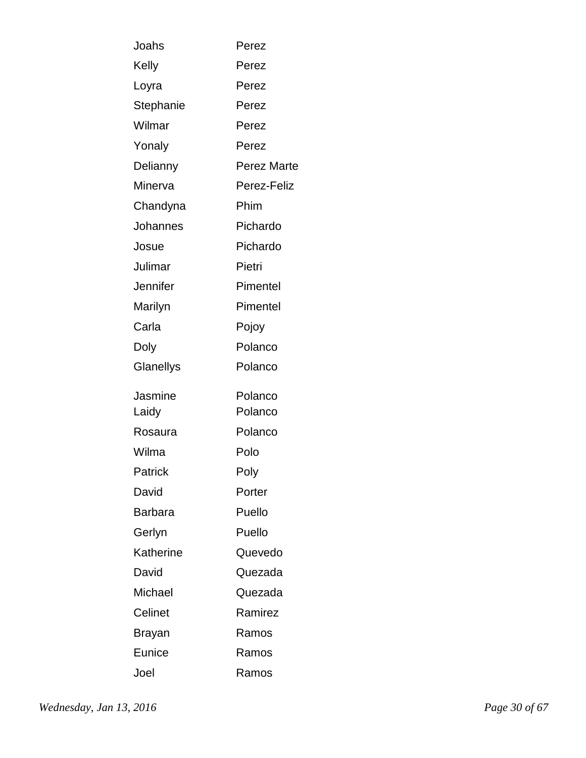| Joahs          | Perez              |
|----------------|--------------------|
| Kelly          | Perez              |
| Loyra          | Perez              |
| Stephanie      | Perez              |
| Wilmar         | Perez              |
| Yonaly         | Perez              |
| Delianny       | <b>Perez Marte</b> |
| Minerva        | Perez-Feliz        |
| Chandyna       | Phim               |
| Johannes       | Pichardo           |
| Josue          | Pichardo           |
| Julimar        | Pietri             |
| Jennifer       | Pimentel           |
| Marilyn        | Pimentel           |
| Carla          | Pojoy              |
| Doly           | Polanco            |
| Glanellys      | Polanco            |
| Jasmine        | Polanco            |
| Laidy          | Polanco            |
| Rosaura        | Polanco            |
| Wilma          | Polo               |
| <b>Patrick</b> | Poly               |
| David          | Porter             |
| <b>Barbara</b> | Puello             |
| Gerlyn         | Puello             |
| Katherine      | Quevedo            |
| David          | Quezada            |
| Michael        | Quezada            |
| Celinet        | Ramirez            |
| Brayan         | Ramos              |
| Eunice         | Ramos              |
| Joel           | Ramos              |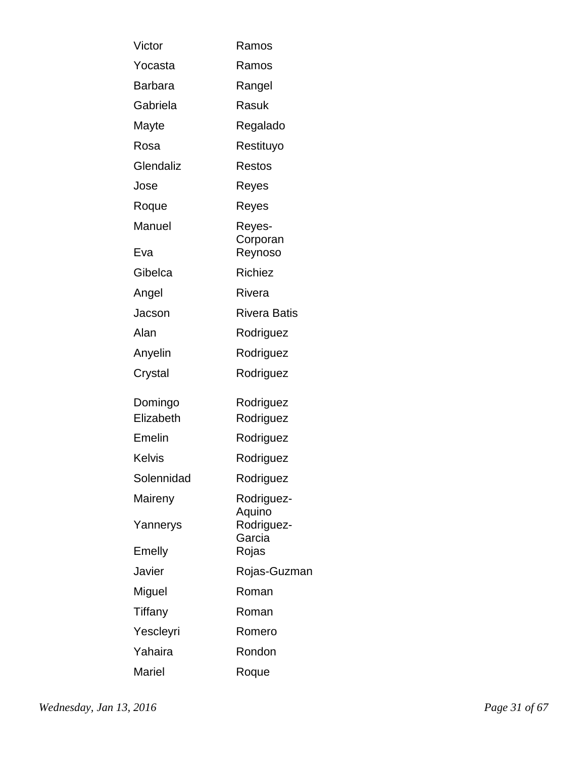| Victor         | Ramos                |
|----------------|----------------------|
| Yocasta        | Ramos                |
| <b>Barbara</b> | Rangel               |
| Gabriela       | Rasuk                |
| Mayte          | Regalado             |
| Rosa           | Restituyo            |
| Glendaliz      | <b>Restos</b>        |
| Jose           | Reyes                |
| Roque          | Reyes                |
| Manuel         | Reyes-<br>Corporan   |
| Eva            | Reynoso              |
| Gibelca        | <b>Richiez</b>       |
| Angel          | Rivera               |
| Jacson         | <b>Rivera Batis</b>  |
| Alan           | Rodriguez            |
| Anyelin        | Rodriguez            |
| Crystal        | Rodriguez            |
| Domingo        | Rodriguez            |
| Elizabeth      | Rodriguez            |
| Emelin         | Rodriguez            |
| Kelvis         | Rodriguez            |
| Solennidad     | Rodriguez            |
| Maireny        | Rodriguez-<br>Aquino |
| Yannerys       | Rodriguez-<br>Garcia |
| Emelly         | Rojas                |
| Javier         | Rojas-Guzman         |
| Miguel         | Roman                |
| Tiffany        | Roman                |
| Yescleyri      | Romero               |
| Yahaira        | Rondon               |
| Mariel         | Roque                |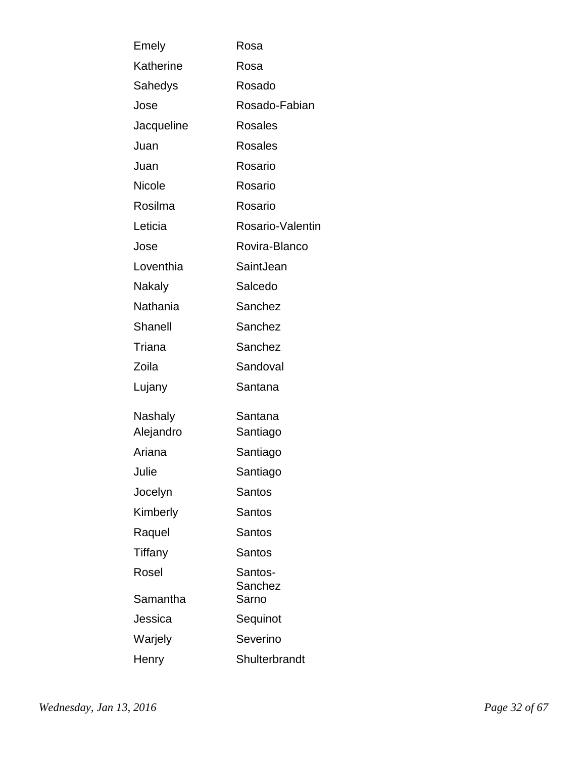| Emely      | Rosa               |
|------------|--------------------|
| Katherine  | Rosa               |
| Sahedys    | Rosado             |
| Jose       | Rosado-Fabian      |
| Jacqueline | <b>Rosales</b>     |
| Juan       | <b>Rosales</b>     |
| Juan       | Rosario            |
| Nicole     | Rosario            |
| Rosilma    | Rosario            |
| Leticia    | Rosario-Valentin   |
| Jose       | Rovira-Blanco      |
| Loventhia  | SaintJean          |
| Nakaly     | Salcedo            |
| Nathania   | Sanchez            |
| Shanell    | Sanchez            |
| Triana     | Sanchez            |
| Zoila      | Sandoval           |
| Lujany     | Santana            |
| Nashaly    | Santana            |
| Alejandro  | Santiago           |
| Ariana     | Santiago           |
| Julie      | Santiago           |
| Jocelyn    | Santos             |
| Kimberly   | Santos             |
| Raquel     | Santos             |
| Tiffany    | Santos             |
| Rosel      | Santos-<br>Sanchez |
| Samantha   | Sarno              |
| Jessica    | Sequinot           |
| Warjely    | Severino           |
| Henry      | Shulterbrandt      |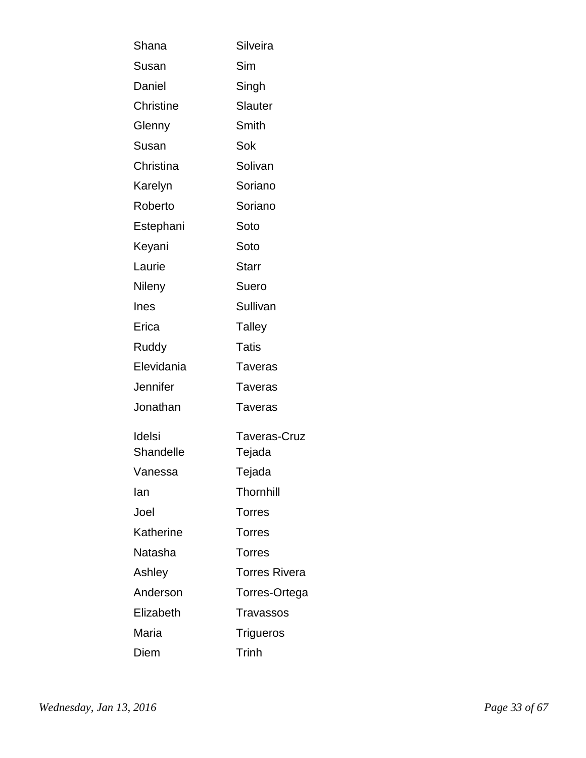| Shana               | Silveira               |
|---------------------|------------------------|
| Susan               | Sim                    |
| Daniel              | Singh                  |
| <b>Christine</b>    | <b>Slauter</b>         |
| Glenny              | Smith                  |
| Susan               | Sok                    |
| Christina           | Solivan                |
| Karelyn             | Soriano                |
| Roberto             | Soriano                |
| Estephani           | Soto                   |
| Keyani              | Soto                   |
| Laurie              | <b>Starr</b>           |
| Nileny              | Suero                  |
| Ines                | Sullivan               |
| Erica               | <b>Talley</b>          |
| Ruddy               | <b>Tatis</b>           |
| Elevidania          | <b>Taveras</b>         |
| Jennifer            | Taveras                |
| Jonathan            | Taveras                |
| Idelsi<br>Shandelle | Taveras-Cruz<br>Tejada |
| Vanessa             | Tejada                 |
| lan                 | <b>Thornhill</b>       |
| Joel                | <b>Torres</b>          |
| Katherine           | <b>Torres</b>          |
| Natasha             | <b>Torres</b>          |
| Ashley              | <b>Torres Rivera</b>   |
| Anderson            | Torres-Ortega          |
| Elizabeth           | <b>Travassos</b>       |
| Maria               | <b>Trigueros</b>       |
| Diem                | Trinh                  |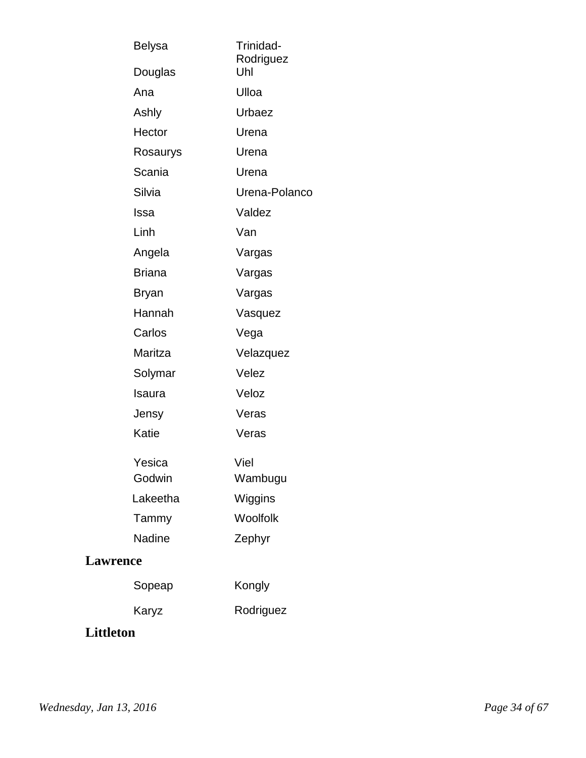| <b>Belysa</b>   | Trinidad-<br>Rodriguez<br>Uhl |
|-----------------|-------------------------------|
| Douglas         |                               |
| Ana             | Ulloa                         |
| Ashly           | Urbaez                        |
| Hector          | Urena                         |
| Rosaurys        | Urena                         |
| Scania          | Urena                         |
| Silvia          | Urena-Polanco                 |
| Issa            | Valdez                        |
| Linh            | Van                           |
| Angela          | Vargas                        |
| <b>Briana</b>   | Vargas                        |
| Bryan           | Vargas                        |
| Hannah          | Vasquez                       |
| Carlos          | Vega                          |
| Maritza         | Velazquez                     |
| Solymar         | Velez                         |
| Isaura          | Veloz                         |
| Jensy           | Veras                         |
| Katie           | Veras                         |
| Yesica          | Viel                          |
| Godwin          | Wambugu                       |
| Lakeetha        | Wiggins                       |
| Tammy           | Woolfolk                      |
| <b>Nadine</b>   | Zephyr                        |
| <b>Lawrence</b> |                               |
| Sopeap          | Kongly                        |
| Karyz           | Rodriguez                     |
|                 |                               |

### **Littleton**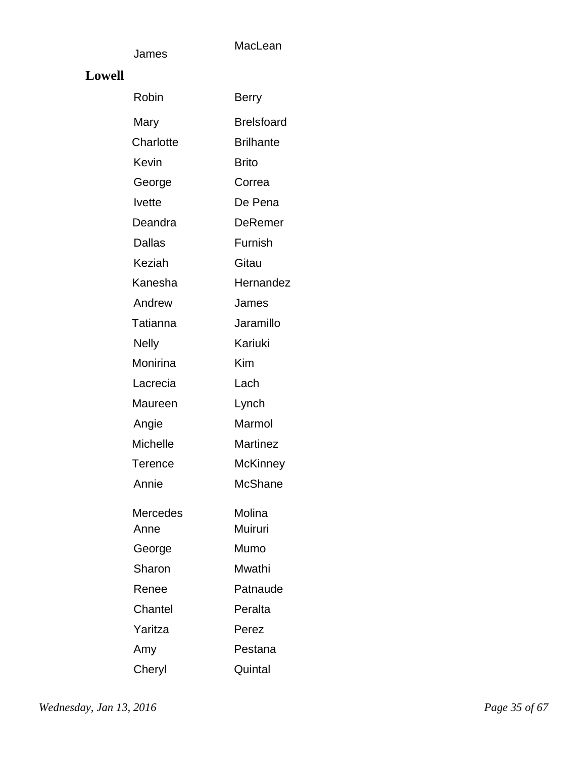#### **Lowell**

James

| Robin           | Berry             |
|-----------------|-------------------|
| Mary            | <b>Brelsfoard</b> |
| Charlotte       | <b>Brilhante</b>  |
| Kevin           | <b>Brito</b>      |
| George          | Correa            |
| <b>Ivette</b>   | De Pena           |
| Deandra         | DeRemer           |
| <b>Dallas</b>   | Furnish           |
| <b>Keziah</b>   | Gitau             |
| Kanesha         | Hernandez         |
| Andrew          | James             |
| Tatianna        | Jaramillo         |
| <b>Nelly</b>    | Kariuki           |
| Monirina        | Kim               |
| Lacrecia        | Lach              |
| Maureen         | Lynch             |
| Angie           | Marmol            |
| <b>Michelle</b> | Martinez          |
| <b>Terence</b>  | <b>McKinney</b>   |
| Annie           | <b>McShane</b>    |
| Mercedes        | Molina            |
| Anne            | Muiruri           |
| George          | Mumo              |
| Sharon          | Mwathi            |
| Renee           | Patnaude          |
| Chantel         | Peralta           |
| Yaritza         | Perez             |
| Amy             | Pestana           |
| Cheryl          | Quintal           |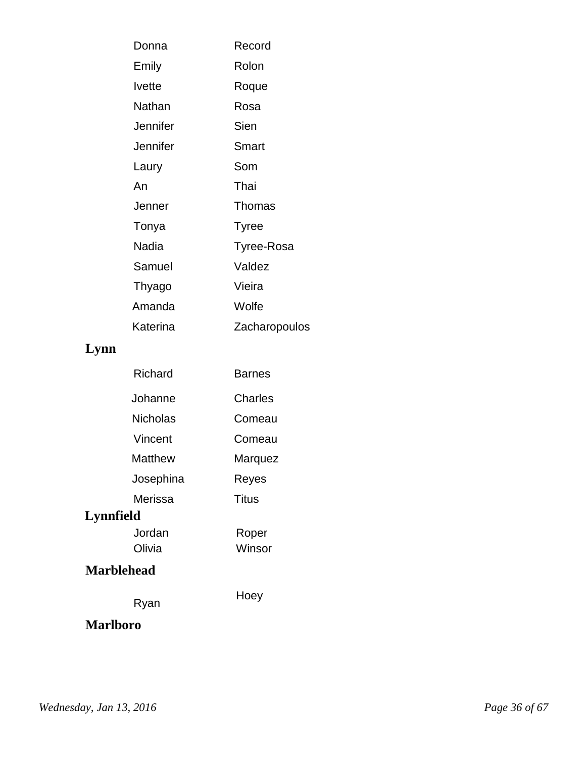| Donna           | Record            |
|-----------------|-------------------|
| Emily           | Rolon             |
| <b>Ivette</b>   | Roque             |
| Nathan          | Rosa              |
| Jennifer        | Sien              |
| <b>Jennifer</b> | Smart             |
| Laury           | Som               |
| An              | Thai              |
| Jenner          | Thomas            |
| Tonya           | <b>Tyree</b>      |
| Nadia           | <b>Tyree-Rosa</b> |
| Samuel          | Valdez            |
| Thyago          | Vieira            |
| Amanda          | Wolfe             |
| Katerina        | Zacharopoulos     |

# **Lynn**

| Richard           | Barnes  |
|-------------------|---------|
| Johanne           | Charles |
| Nicholas          | Comeau  |
| Vincent           | Comeau  |
| Matthew           | Marquez |
| Josephina         | Reyes   |
| Merissa           | Titus   |
| Lynnfield         |         |
| Jordan            | Roper   |
| Olivia            | Winsor  |
| <b>Marblehead</b> |         |
| Ryan              | Hoey    |
| <b>Marlboro</b>   |         |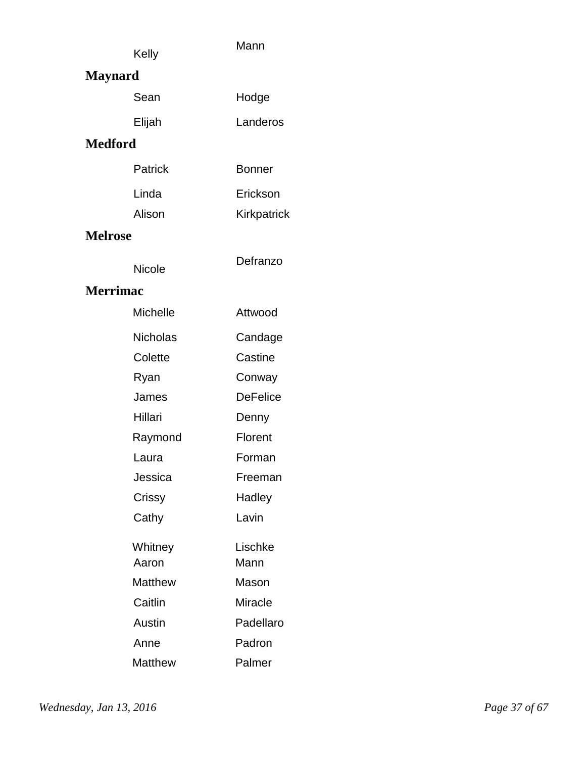| Kelly | Mann |
|-------|------|
|       |      |

# **Maynard**

| Sean   | Hodge    |
|--------|----------|
| Elijah | Landeros |

#### **Medford**

| <b>Patrick</b> | <b>Bonner</b> |
|----------------|---------------|
| Linda          | Erickson      |
| Alison         | Kirkpatrick   |

**Defranzo** 

### **Melrose**

Nicole

#### **Merrimac**

| Michelle | Attwood         |
|----------|-----------------|
| Nicholas | Candage         |
| Colette  | Castine         |
| Ryan     | Conway          |
| James    | <b>DeFelice</b> |
| Hillari  | Denny           |
| Raymond  | Florent         |
| Laura    | Forman          |
| Jessica  | Freeman         |
| Crissy   | Hadley          |
| Cathy    | Lavin           |
| Whitney  | Lischke         |
| Aaron    | Mann            |
| Matthew  | Mason           |
| Caitlin  | Miracle         |
| Austin   | Padellaro       |
| Anne     | Padron          |
| Matthew  | Palmer          |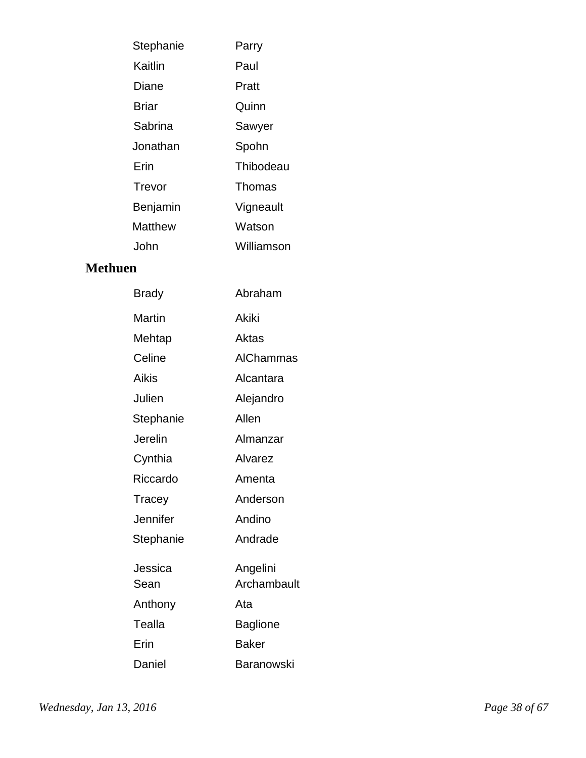| Parry      |
|------------|
| Paul       |
| Pratt      |
| Quinn      |
| Sawyer     |
| Spohn      |
| Thibodeau  |
| Thomas     |
| Vigneault  |
| Watson     |
| Williamson |
|            |

### **Methuen**

| <b>Brady</b>    | Abraham                 |
|-----------------|-------------------------|
| <b>Martin</b>   | <b>Akiki</b>            |
| Mehtap          | Aktas                   |
| Celine          | <b>AIChammas</b>        |
| Aikis           | Alcantara               |
| Julien          | Alejandro               |
| Stephanie       | Allen                   |
| Jerelin         | Almanzar                |
| Cynthia         | Alvarez                 |
| Riccardo        | Amenta                  |
| Tracey          | Anderson                |
| Jennifer        | Andino                  |
| Stephanie       | Andrade                 |
| Jessica<br>Sean | Angelini<br>Archambault |
| Anthony         | Ata                     |
| Tealla          | Baglione                |
| Erin            | <b>Baker</b>            |
| Daniel          | Baranowski              |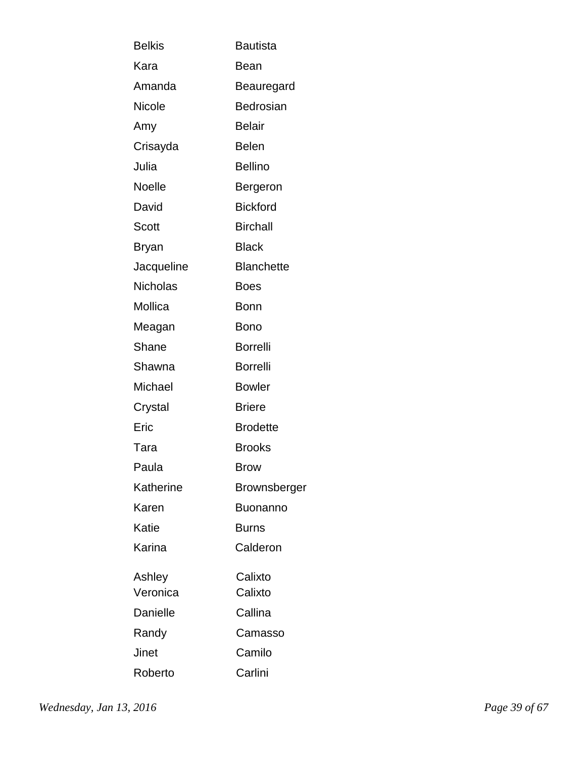| <b>Belkis</b> | <b>Bautista</b>   |
|---------------|-------------------|
| Kara          | Bean              |
| Amanda        | Beauregard        |
| Nicole        | Bedrosian         |
| Amy           | <b>Belair</b>     |
| Crisayda      | <b>Belen</b>      |
| Julia         | <b>Bellino</b>    |
| Noelle        | Bergeron          |
| David         | <b>Bickford</b>   |
| Scott         | <b>Birchall</b>   |
| <b>Bryan</b>  | <b>Black</b>      |
| Jacqueline    | <b>Blanchette</b> |
| Nicholas      | <b>Boes</b>       |
| Mollica       | <b>Bonn</b>       |
| Meagan        | <b>Bono</b>       |
| Shane         | <b>Borrelli</b>   |
| Shawna        | <b>Borrelli</b>   |
| Michael       | <b>Bowler</b>     |
| Crystal       | <b>Briere</b>     |
| Eric          | <b>Brodette</b>   |
| Tara          | <b>Brooks</b>     |
| Paula         | <b>Brow</b>       |
| Katherine     | Brownsberger      |
| Karen         | <b>Buonanno</b>   |
| Katie         | Burns             |
| Karina        | Calderon          |
| Ashley        | Calixto           |
| Veronica      | Calixto           |
| Danielle      | Callina           |
| Randy         | Camasso           |
| Jinet         | Camilo            |
| Roberto       | Carlini           |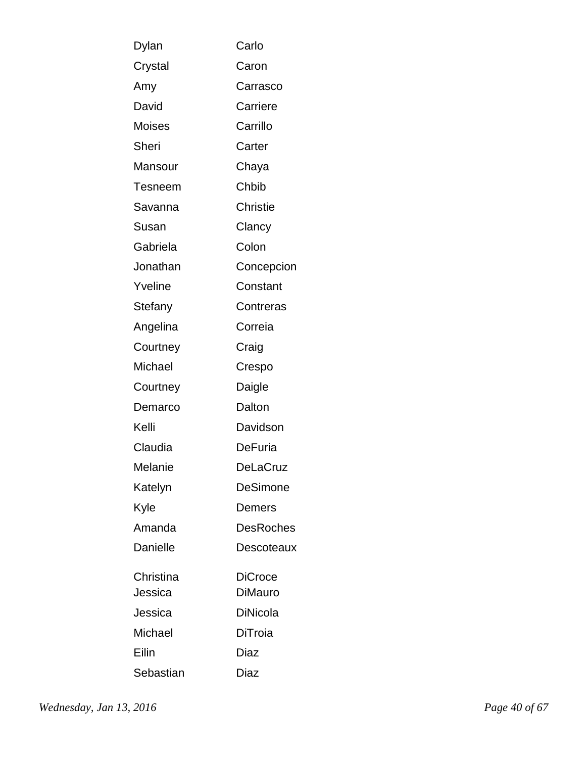| Dylan          | Carlo            |
|----------------|------------------|
| Crystal        | Caron            |
| Amy            | Carrasco         |
| David          | Carriere         |
| <b>Moises</b>  | Carrillo         |
| Sheri          | Carter           |
| Mansour        | Chaya            |
| <b>Tesneem</b> | Chbib            |
| Savanna        | <b>Christie</b>  |
| Susan          | Clancy           |
| Gabriela       | Colon            |
| Jonathan       | Concepcion       |
| Yveline        | Constant         |
| Stefany        | Contreras        |
| Angelina       | Correia          |
| Courtney       | Craig            |
| Michael        | Crespo           |
| Courtney       | Daigle           |
| Demarco        | Dalton           |
| Kelli          | Davidson         |
| Claudia        | <b>DeFuria</b>   |
| Melanie        | <b>DeLaCruz</b>  |
| Katelyn        | <b>DeSimone</b>  |
| Kyle           | Demers           |
| Amanda         | <b>DesRoches</b> |
| Danielle       | Descoteaux       |
| Christina      | <b>DiCroce</b>   |
| Jessica        | <b>DiMauro</b>   |
| Jessica        | <b>DiNicola</b>  |
| Michael        | DiTroia          |
| Eilin          | Diaz             |
| Sebastian      | Diaz             |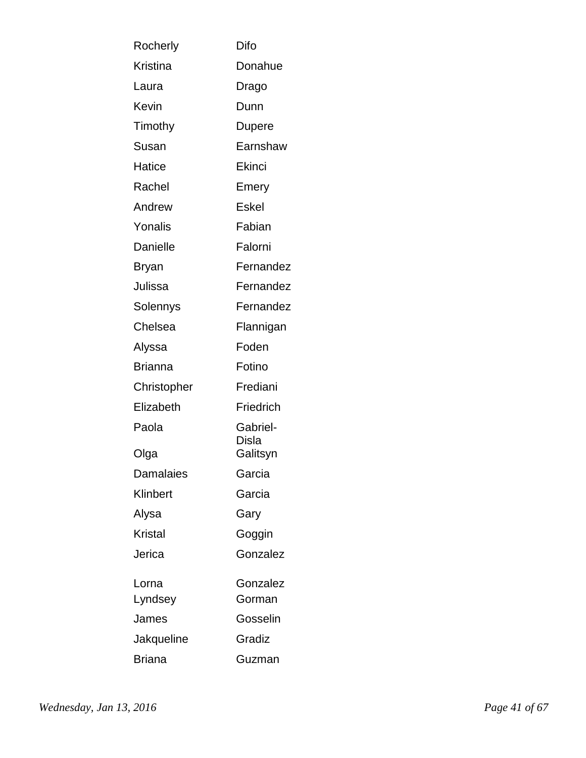| Rocherly         | Difo              |
|------------------|-------------------|
| Kristina         | Donahue           |
| Laura            | Drago             |
| Kevin            | Dunn              |
| Timothy          | Dupere            |
| Susan            | Earnshaw          |
| Hatice           | Ekinci            |
| Rachel           | Emery             |
| Andrew           | <b>Eskel</b>      |
| Yonalis          | Fabian            |
| Danielle         | Falorni           |
| Bryan            | Fernandez         |
| Julissa          | Fernandez         |
| Solennys         | Fernandez         |
| Chelsea          | Flannigan         |
| Alyssa           | Foden             |
| <b>Brianna</b>   | Fotino            |
| Christopher      | Frediani          |
| Elizabeth        | Friedrich         |
| Paola            | Gabriel-<br>Disla |
| Olga             | Galitsyn          |
| <b>Damalaies</b> | Garcia            |
| Klinbert         | Garcia            |
| Alysa            | Gary              |
| <b>Kristal</b>   | Goggin            |
| Jerica           | Gonzalez          |
| Lorna            | Gonzalez          |
| Lyndsey          | Gorman            |
| James            | Gosselin          |
| Jakqueline       | Gradiz            |
| <b>Briana</b>    | Guzman            |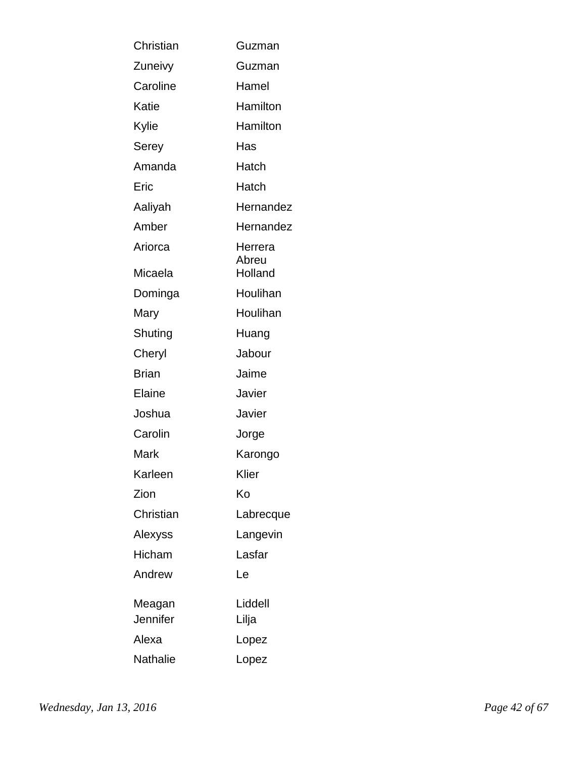| Christian     | Guzman           |
|---------------|------------------|
| Zuneivy       | Guzman           |
| Caroline      | Hamel            |
| Katie         | Hamilton         |
| Kylie         | Hamilton         |
| Serey         | Has              |
| Amanda        | Hatch            |
| Eric          | Hatch            |
| Aaliyah       | Hernandez        |
| Amber         | Hernandez        |
| Ariorca       | Herrera          |
| Micaela       | Abreu<br>Holland |
| Dominga       | Houlihan         |
| Mary          | Houlihan         |
| Shuting       | Huang            |
| Cheryl        | Jabour           |
| Brian         | Jaime            |
| Elaine        | Javier           |
| Joshua        | Javier           |
| Carolin       | Jorge            |
| Mark          | Karongo          |
| Karleen       | Klier            |
| Zion          | Ko               |
| Christian     | Labrecque        |
| Alexyss       | Langevin         |
| <b>Hicham</b> | Lasfar           |
| Andrew        | Le               |
| Meagan        | Liddell          |
| Jennifer      | Lilja            |
| Alexa         | Lopez            |
| Nathalie      | Lopez            |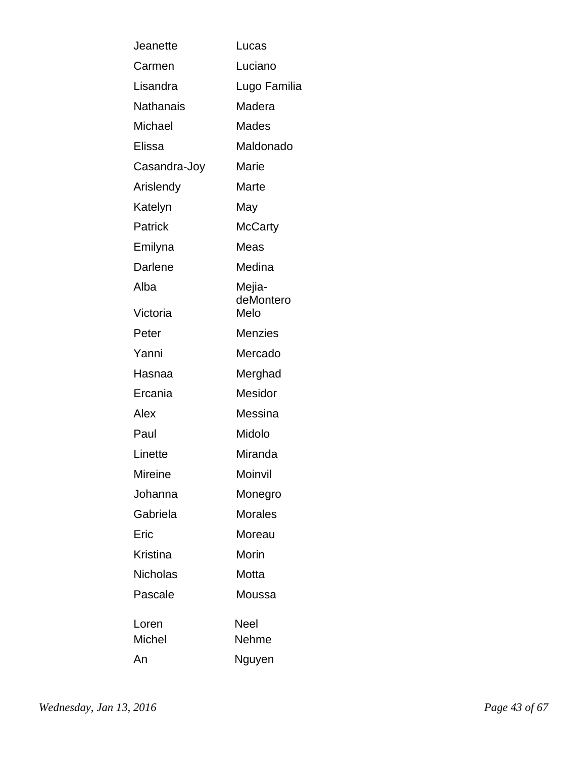| Jeanette        | Lucas               |
|-----------------|---------------------|
| Carmen          | Luciano             |
| Lisandra        | Lugo Familia        |
| Nathanais       | Madera              |
| Michael         | Mades               |
| Elissa          | Maldonado           |
| Casandra-Joy    | Marie               |
| Arislendy       | Marte               |
| Katelyn         | May                 |
| Patrick         | McCarty             |
| Emilyna         | Meas                |
| Darlene         | Medina              |
| Alba            | Mejia-<br>deMontero |
| Victoria        | Melo                |
| Peter           | <b>Menzies</b>      |
| Yanni           | Mercado             |
| Hasnaa          | Merghad             |
| Ercania         | Mesidor             |
| Alex            | Messina             |
| Paul            | Midolo              |
| Linette         | Miranda             |
| Mireine         | Moinvil             |
| Johanna         | Monegro             |
| Gabriela        | <b>Morales</b>      |
| Eric            | Moreau              |
| Kristina        | Morin               |
| <b>Nicholas</b> | Motta               |
| Pascale         | Moussa              |
| Loren<br>Michel | Neel<br>Nehme       |
| An              | Nguyen              |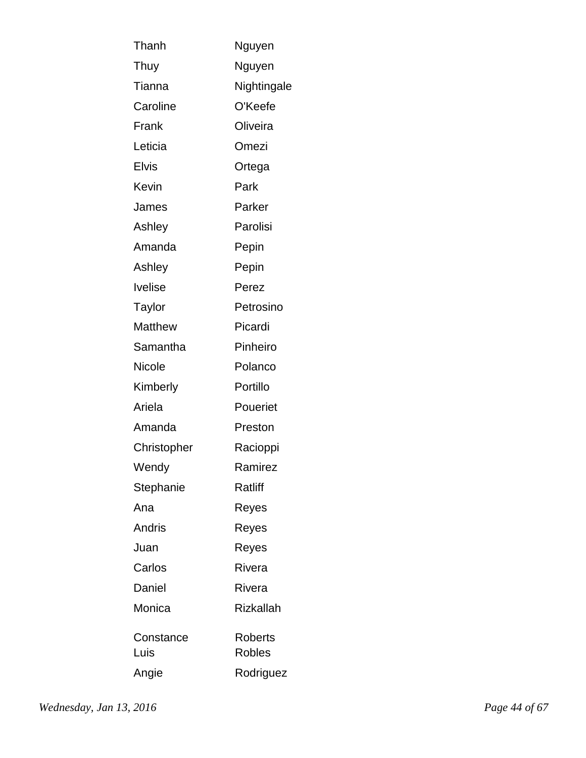| Thanh          | Nguyen           |
|----------------|------------------|
| Thuy           | Nguyen           |
| Tianna         | Nightingale      |
| Caroline       | O'Keefe          |
| Frank          | Oliveira         |
| Leticia        | Omezi            |
| <b>Elvis</b>   | Ortega           |
| Kevin          | Park             |
| James          | Parker           |
| Ashley         | Parolisi         |
| Amanda         | Pepin            |
| Ashley         | Pepin            |
| <b>Ivelise</b> | Perez            |
| Taylor         | Petrosino        |
| <b>Matthew</b> | Picardi          |
| Samantha       | Pinheiro         |
| Nicole         | Polanco          |
| Kimberly       | Portillo         |
| Ariela         | Poueriet         |
| Amanda         | Preston          |
| Christopher    | Racioppi         |
| Wendy          | Ramirez          |
| Stephanie      | Ratliff          |
| Ana            | Reyes            |
| <b>Andris</b>  | Reyes            |
| Juan           | Reyes            |
| Carlos         | Rivera           |
| Daniel         | Rivera           |
| Monica         | <b>Rizkallah</b> |
| Constance      | <b>Roberts</b>   |
| Luis           | <b>Robles</b>    |
| Angie          | Rodriguez        |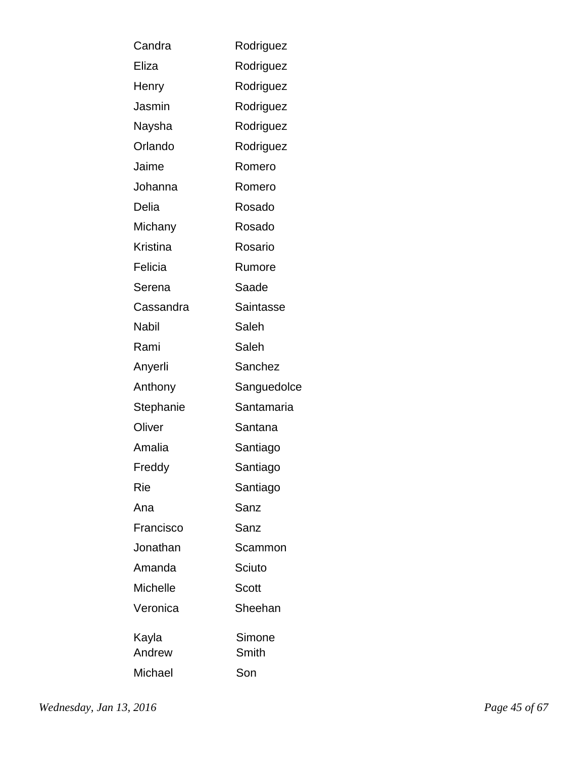| Candra          | Rodriguez   |
|-----------------|-------------|
| Eliza           | Rodriguez   |
| Henry           | Rodriguez   |
| Jasmin          | Rodriguez   |
| Naysha          | Rodriguez   |
| Orlando         | Rodriguez   |
| Jaime           | Romero      |
| Johanna         | Romero      |
| Delia           | Rosado      |
| Michany         | Rosado      |
| <b>Kristina</b> | Rosario     |
| Felicia         | Rumore      |
| Serena          | Saade       |
| Cassandra       | Saintasse   |
| Nabil           | Saleh       |
| Rami            | Saleh       |
| Anyerli         | Sanchez     |
| Anthony         | Sanguedolce |
| Stephanie       | Santamaria  |
| Oliver          | Santana     |
| Amalia          | Santiago    |
| Freddy          | Santiago    |
| Rie             | Santiago    |
| Ana             | Sanz        |
| Francisco       | Sanz        |
| Jonathan        | Scammon     |
| Amanda          | Sciuto      |
| <b>Michelle</b> | Scott       |
| Veronica        | Sheehan     |
| Kayla           | Simone      |
| Andrew          | Smith       |
| Michael         | Son         |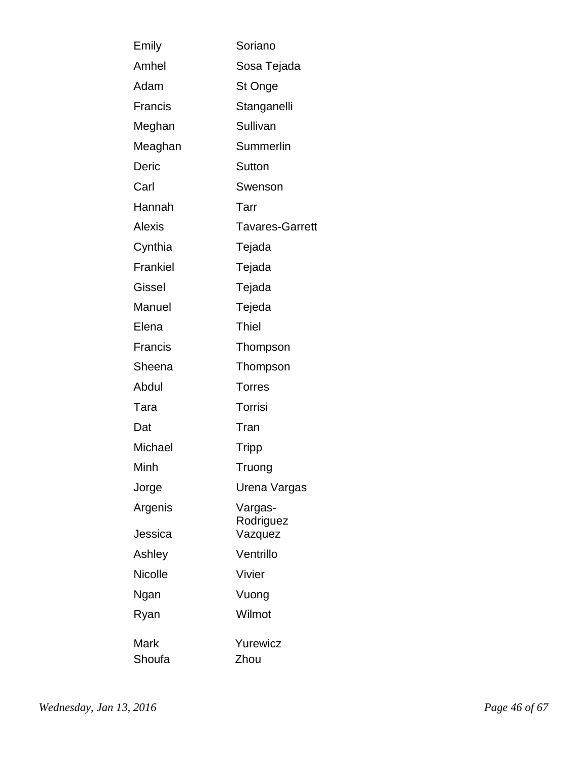| Emily          | Soriano                |
|----------------|------------------------|
| Amhel          | Sosa Tejada            |
| Adam           | St Onge                |
| Francis        | Stanganelli            |
| Meghan         | Sullivan               |
| Meaghan        | <b>Summerlin</b>       |
| Deric          | Sutton                 |
| Carl           | Swenson                |
| Hannah         | Tarr                   |
| <b>Alexis</b>  | <b>Tavares-Garrett</b> |
| Cynthia        | Tejada                 |
| Frankiel       | Tejada                 |
| Gissel         | Tejada                 |
| Manuel         | Tejeda                 |
| Elena          | <b>Thiel</b>           |
| <b>Francis</b> | Thompson               |
| Sheena         | Thompson               |
| Abdul          | <b>Torres</b>          |
| Tara           | Torrisi                |
| Dat            | Tran                   |
| Michael        | <b>Tripp</b>           |
| Minh           | Truong                 |
| Jorge          | Urena Vargas           |
| Argenis        | Vargas-<br>Rodriguez   |
| Jessica        | Vazquez                |
| Ashley         | Ventrillo              |
| Nicolle        | Vivier                 |
| Ngan           | Vuong                  |
| Ryan           | Wilmot                 |
| Mark<br>Shoufa | Yurewicz<br>Zhou       |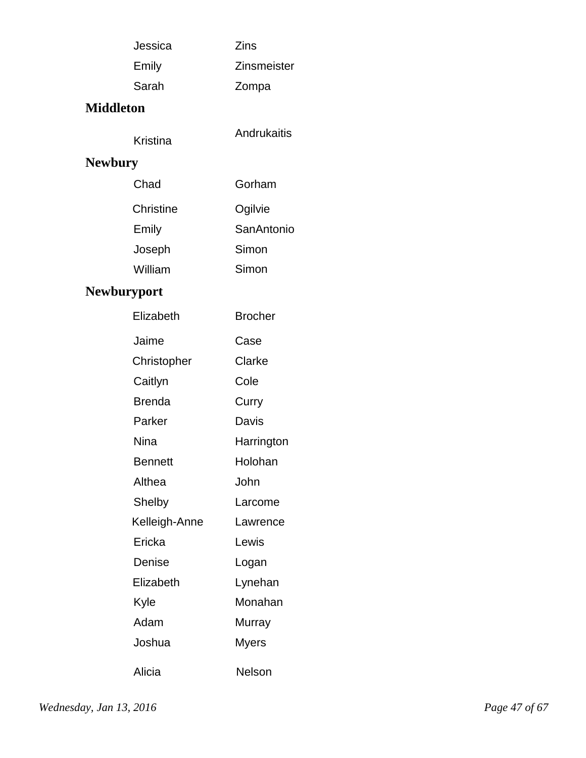| Jessica | <b>Zins</b>        |
|---------|--------------------|
| Emily   | <b>Zinsmeister</b> |
| Sarah   | Zompa              |

### **Middleton**

Kristina Andrukaitis

# **Newbury**

| Chad      | Gorham     |
|-----------|------------|
| Christine | Ogilvie    |
| Emily     | SanAntonio |
| Joseph    | Simon      |
| William   | Simon      |

# **Newburyport**

| Elizabeth      | <b>Brocher</b> |
|----------------|----------------|
| Jaime          | Case           |
| Christopher    | Clarke         |
| Caitlyn        | Cole           |
| <b>Brenda</b>  | Curry          |
| Parker         | Davis          |
| Nina           | Harrington     |
| <b>Bennett</b> | Holohan        |
| Althea         | John           |
| Shelby         | Larcome        |
| Kelleigh-Anne  | Lawrence       |
| Ericka         | Lewis          |
| Denise         | Logan          |
| Elizabeth      | Lynehan        |
| Kyle           | Monahan        |
| Adam           | Murray         |
| Joshua         | Myers          |
| Alicia         | Nelson         |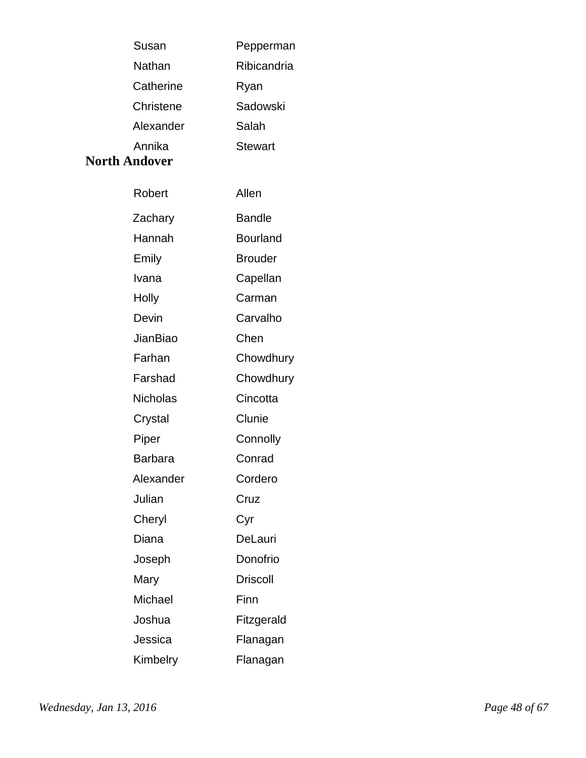| Susan     | Pepperman      |
|-----------|----------------|
| Nathan    | Ribicandria    |
| Catherine | Ryan           |
| Christene | Sadowski       |
| Alexander | Salah          |
| Annika    | <b>Stewart</b> |

#### **North Andover**

| Robert          | Allen           |
|-----------------|-----------------|
| Zachary         | <b>Bandle</b>   |
| Hannah          | <b>Bourland</b> |
| Emily           | <b>Brouder</b>  |
| Ivana           | Capellan        |
| Holly           | Carman          |
| Devin           | Carvalho        |
| <b>JianBiao</b> | Chen            |
| Farhan          | Chowdhury       |
| Farshad         | Chowdhury       |
| <b>Nicholas</b> | Cincotta        |
| Crystal         | Clunie          |
| Piper           | Connolly        |
| <b>Barbara</b>  | Conrad          |
| Alexander       | Cordero         |
| Julian          | Cruz            |
| Cheryl          | Cyr             |
| Diana           | DeLauri         |
| Joseph          | Donofrio        |
| Mary            | <b>Driscoll</b> |
| Michael         | Finn            |
| Joshua          | Fitzgerald      |
| Jessica         | Flanagan        |
| Kimbelry        | Flanagan        |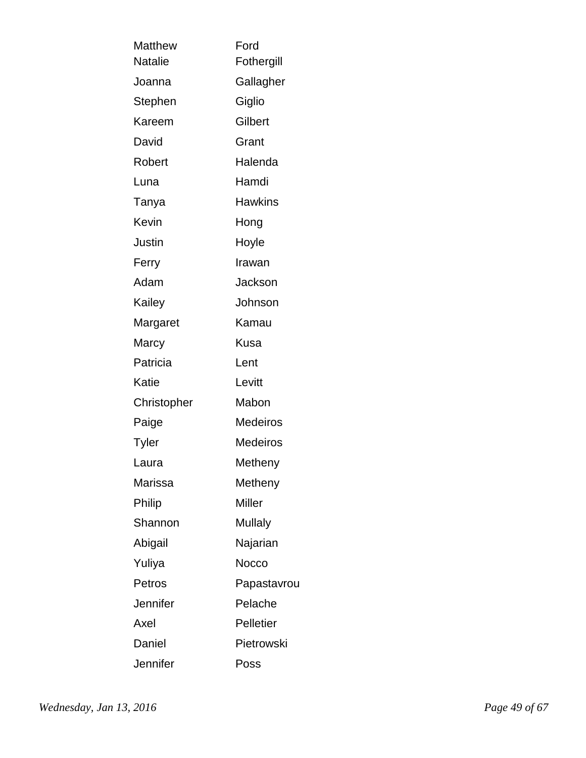| Ford<br>Fothergill |
|--------------------|
| Gallagher          |
| Giglio             |
| Gilbert            |
|                    |
| Grant              |
| Halenda            |
| Hamdi              |
| <b>Hawkins</b>     |
| Hong               |
| Hoyle              |
| Irawan             |
| Jackson            |
| Johnson            |
| Kamau              |
| Kusa               |
| Lent               |
| Levitt             |
| Mabon              |
| <b>Medeiros</b>    |
| Medeiros           |
| Metheny            |
| Metheny            |
| Miller             |
| <b>Mullaly</b>     |
| Najarian           |
| Nocco              |
| Papastavrou        |
| Pelache            |
| <b>Pelletier</b>   |
| Pietrowski         |
| Poss               |
|                    |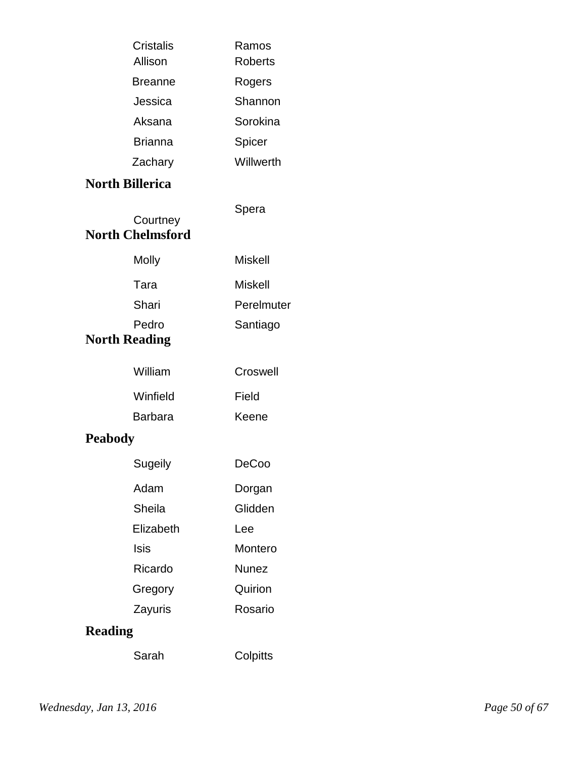|                | <b>Cristalis</b><br>Allison         | Ramos<br><b>Roberts</b> |
|----------------|-------------------------------------|-------------------------|
|                | <b>Breanne</b>                      | Rogers                  |
|                | Jessica                             | Shannon                 |
|                | Aksana                              | Sorokina                |
|                | <b>Brianna</b>                      | Spicer                  |
|                | Zachary                             | Willwerth               |
|                | <b>North Billerica</b>              |                         |
|                | Courtney<br><b>North Chelmsford</b> | Spera                   |
|                | <b>Molly</b>                        | <b>Miskell</b>          |
|                | Tara                                | <b>Miskell</b>          |
|                | Shari                               | Perelmuter              |
|                | Pedro<br><b>North Reading</b>       | Santiago                |
|                | William                             | Croswell                |
|                | Winfield                            | Field                   |
|                | <b>Barbara</b>                      | Keene                   |
| <b>Peabody</b> |                                     |                         |
|                | Sugeily                             | <b>DeCoo</b>            |
|                | Adam                                | Dorgan                  |
|                | Sheila                              | Glidden                 |
|                | Elizabeth                           | Lee                     |
|                | Isis                                | Montero                 |
|                | Ricardo                             | <b>Nunez</b>            |
|                | Gregory                             | Quirion                 |
|                | Zayuris                             | Rosario                 |
| <b>Reading</b> |                                     |                         |
|                | Sarah                               | Colpitts                |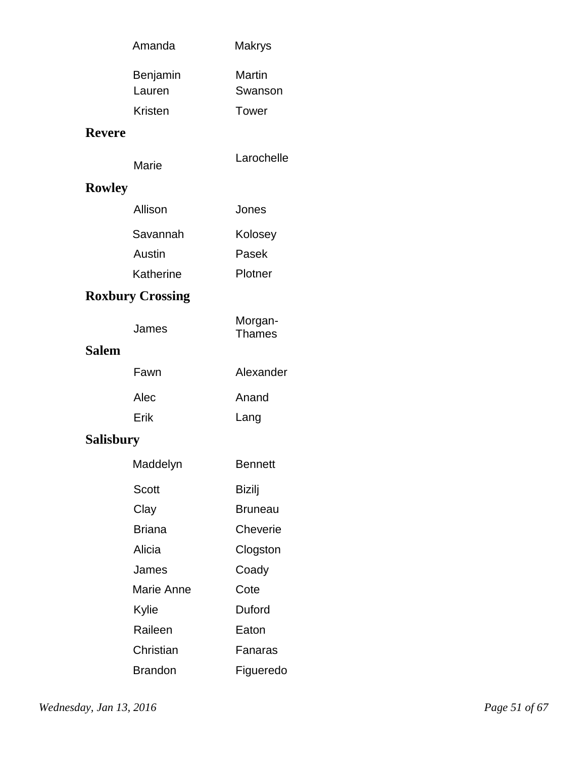|                  | Amanda                        | Makrys                            |  |
|------------------|-------------------------------|-----------------------------------|--|
|                  | Benjamin<br>Lauren<br>Kristen | Martin<br>Swanson<br><b>Tower</b> |  |
| <b>Revere</b>    |                               |                                   |  |
|                  |                               |                                   |  |
|                  | Marie                         | Larochelle                        |  |
| <b>Rowley</b>    |                               |                                   |  |
|                  | Allison                       | Jones                             |  |
|                  | Savannah                      | Kolosey                           |  |
|                  | Austin                        | Pasek                             |  |
|                  | Katherine                     | Plotner                           |  |
|                  | <b>Roxbury Crossing</b>       |                                   |  |
|                  | James                         | Morgan-<br><b>Thames</b>          |  |
| <b>Salem</b>     |                               |                                   |  |
|                  | Fawn                          | Alexander                         |  |
|                  | Alec                          | Anand                             |  |
|                  | Erik                          | Lang                              |  |
| <b>Salisbury</b> |                               |                                   |  |
|                  | Maddelyn                      | <b>Bennett</b>                    |  |
|                  | <b>Scott</b>                  | <b>Bizilj</b>                     |  |
|                  | Clay                          | <b>Bruneau</b>                    |  |
|                  | <b>Briana</b>                 | Cheverie                          |  |
|                  | Alicia                        | Clogston                          |  |
|                  | James                         | Coady                             |  |
|                  | Marie Anne                    | Cote                              |  |
|                  | Kylie                         | Duford                            |  |
|                  | Raileen                       | Eaton                             |  |
|                  | Christian                     | Fanaras                           |  |
|                  | <b>Brandon</b>                | Figueredo                         |  |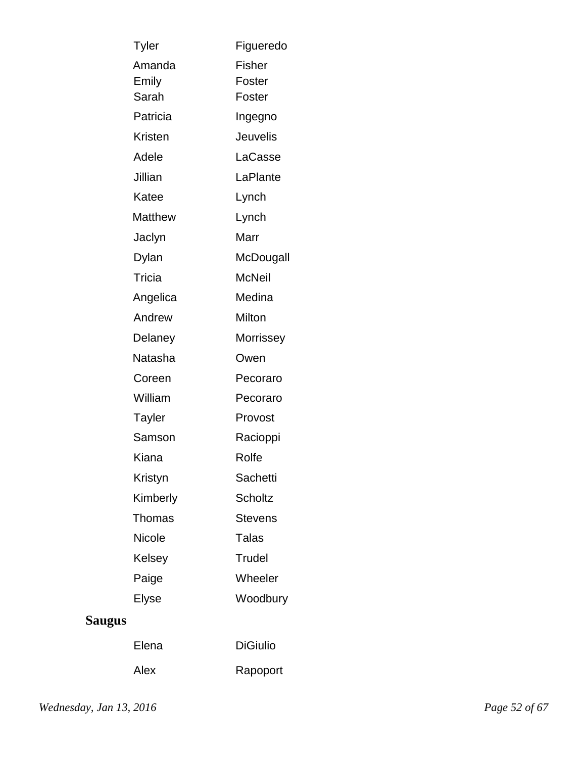| Tyler    | Figueredo      |
|----------|----------------|
| Amanda   | Fisher         |
| Emily    | Foster         |
| Sarah    | Foster         |
| Patricia | Ingegno        |
| Kristen  | Jeuvelis       |
| Adele    | LaCasse        |
| Jillian  | LaPlante       |
| Katee    | Lynch          |
| Matthew  | Lynch          |
| Jaclyn   | Marr           |
| Dylan    | McDougall      |
| Tricia   | McNeil         |
| Angelica | Medina         |
| Andrew   | Milton         |
| Delaney  | Morrissey      |
| Natasha  | Owen           |
| Coreen   | Pecoraro       |
| William  | Pecoraro       |
| Tayler   | Provost        |
| Samson   | Racioppi       |
| Kiana    | Rolfe          |
| Kristyn  | Sachetti       |
| Kimberly | Scholtz        |
| Thomas   | <b>Stevens</b> |
| Nicole   | Talas          |
| Kelsey   | Trudel         |
| Paige    | Wheeler        |
| Elyse    | Woodbury       |
|          |                |

# **Saugus**

| Elena | <b>DiGiulio</b> |
|-------|-----------------|
| Alex  | Rapoport        |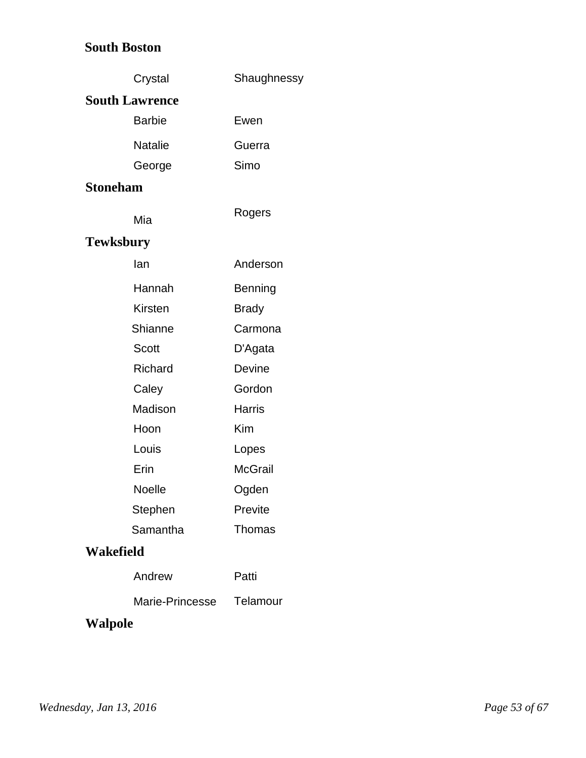### **South Boston**

|                  | Crystal               | Shaughnessy    |
|------------------|-----------------------|----------------|
|                  | <b>South Lawrence</b> |                |
|                  | <b>Barbie</b>         | Ewen           |
|                  | <b>Natalie</b>        | Guerra         |
|                  | George                | Simo           |
| <b>Stoneham</b>  |                       |                |
|                  | Mia                   | Rogers         |
| <b>Tewksbury</b> |                       |                |
|                  | lan                   | Anderson       |
|                  | Hannah                | <b>Benning</b> |
|                  | Kirsten               | <b>Brady</b>   |
|                  | Shianne               | Carmona        |
|                  | Scott                 | D'Agata        |
|                  | <b>Richard</b>        | <b>Devine</b>  |
|                  | Caley                 | Gordon         |
|                  | Madison               | Harris         |
|                  | Hoon                  | Kim            |
|                  | Louis                 | Lopes          |
|                  | Erin                  | <b>McGrail</b> |
|                  | Noelle                | Ogden          |
|                  | Stephen               | Previte        |
|                  | Samantha              | Thomas         |
| Wakefield        |                       |                |
|                  | Andrew                | Patti          |
|                  | Marie-Princesse       | Telamour       |
|                  |                       |                |

# **Walpole**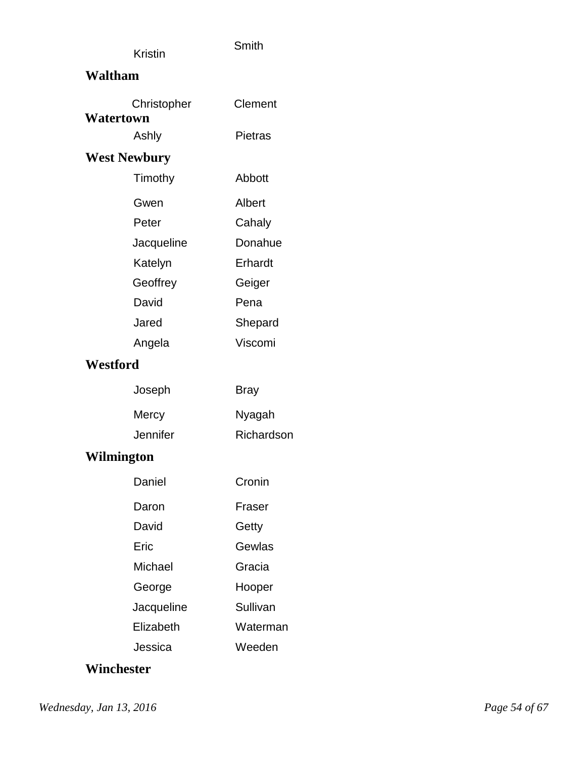|                | Smith |
|----------------|-------|
| <b>Kristin</b> |       |

### **Waltham**

| Watertown           | Christopher | Clement        |  |
|---------------------|-------------|----------------|--|
|                     | Ashly       | <b>Pietras</b> |  |
| <b>West Newbury</b> |             |                |  |
|                     | Timothy     | Abbott         |  |
|                     |             |                |  |
|                     | Gwen        | Albert         |  |
|                     | Peter       | Cahaly         |  |
|                     | Jacqueline  | Donahue        |  |
|                     | Katelyn     | Erhardt        |  |
|                     | Geoffrey    | Geiger         |  |
|                     | David       | Pena           |  |
|                     | Jared       | Shepard        |  |
|                     | Angela      | Viscomi        |  |
| Westford            |             |                |  |
|                     | Joseph      | Bray           |  |
|                     | Mercy       | Nyagah         |  |
|                     | Jennifer    | Richardson     |  |
| Wilmington          |             |                |  |
|                     | Daniel      | Cronin         |  |
|                     | Daron       | Fraser         |  |
|                     | David       | Getty          |  |
|                     | Eric        | Gewlas         |  |
|                     | Michael     | Gracia         |  |
|                     | George      | Hooper         |  |
|                     | Jacqueline  | Sullivan       |  |
|                     | Elizabeth   | Waterman       |  |
|                     | Jessica     | Weeden         |  |
|                     |             |                |  |

# **Winchester**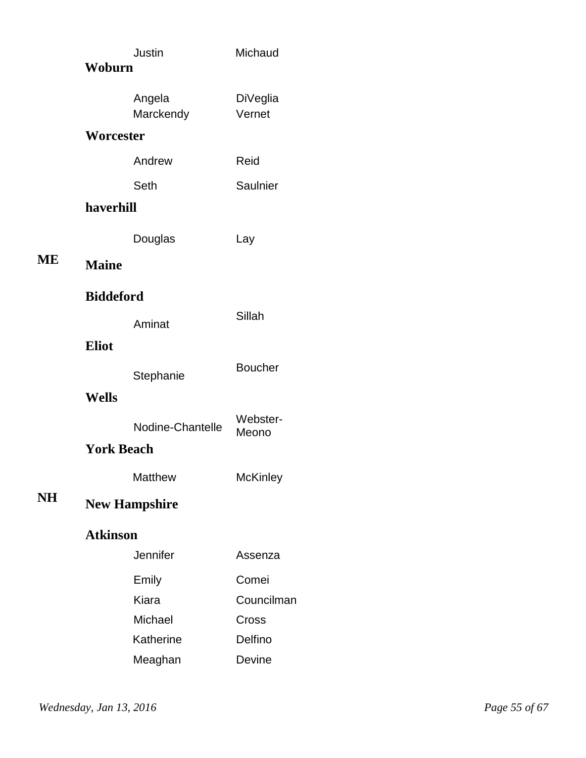|                   |                  | Justin               | Michaud            |  |
|-------------------|------------------|----------------------|--------------------|--|
| Woburn            |                  |                      |                    |  |
|                   |                  | Angela<br>Marckendy  | DiVeglia<br>Vernet |  |
|                   | Worcester        |                      |                    |  |
|                   |                  | Andrew               | Reid               |  |
|                   |                  | Seth                 | Saulnier           |  |
| haverhill         |                  |                      |                    |  |
|                   |                  | Douglas              | Lay                |  |
| ME                | <b>Maine</b>     |                      |                    |  |
|                   | <b>Biddeford</b> |                      |                    |  |
|                   |                  | Aminat               | Sillah             |  |
|                   | <b>Eliot</b>     |                      |                    |  |
|                   |                  | Stephanie            | <b>Boucher</b>     |  |
|                   | Wells            |                      |                    |  |
|                   |                  | Nodine-Chantelle     | Webster-<br>Meono  |  |
| <b>York Beach</b> |                  |                      |                    |  |
|                   |                  | <b>Matthew</b>       | <b>McKinley</b>    |  |
| <b>NH</b>         |                  | <b>New Hampshire</b> |                    |  |
|                   | <b>Atkinson</b>  |                      |                    |  |
|                   |                  | Jennifer             | Assenza            |  |
|                   |                  | Emily                | Comei              |  |
|                   |                  | Kiara                | Councilman         |  |
|                   |                  | Michael              | Cross              |  |
|                   |                  | Katherine<br>Meaghan | Delfino<br>Devine  |  |
|                   |                  |                      |                    |  |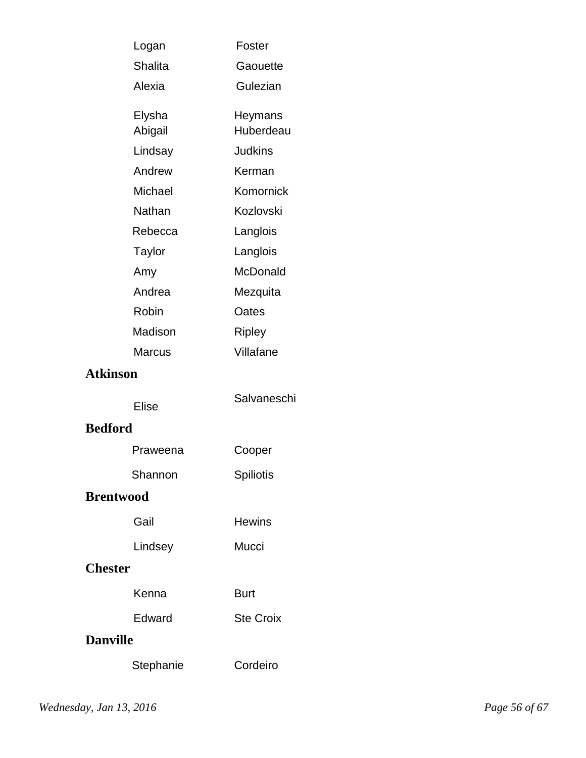| Logan             | Foster               |  |
|-------------------|----------------------|--|
| <b>Shalita</b>    | Gaouette             |  |
| Alexia            | Gulezian             |  |
| Elysha<br>Abigail | Heymans<br>Huberdeau |  |
| Lindsay           | <b>Judkins</b>       |  |
| Andrew            | Kerman               |  |
| Michael           | Komornick            |  |
| Nathan            | Kozlovski            |  |
| Rebecca           | Langlois             |  |
| Taylor            | Langlois             |  |
| Amy               | McDonald             |  |
| Andrea            | Mezquita             |  |
| Robin             | Oates                |  |
| Madison           | Ripley               |  |
| <b>Marcus</b>     | Villafane            |  |
| <b>Atkinson</b>   |                      |  |
| <b>Elise</b>      | Salvaneschi          |  |
| <b>Bedford</b>    |                      |  |
| Praweena          | Cooper               |  |
| Shannon           | Spiliotis            |  |
| <b>Brentwood</b>  |                      |  |
| Gail              | <b>Hewins</b>        |  |
| Lindsey           | Mucci                |  |
| <b>Chester</b>    |                      |  |
| Kenna             | <b>Burt</b>          |  |
| Edward            | <b>Ste Croix</b>     |  |
| <b>Danville</b>   |                      |  |
| Stephanie         | Cordeiro             |  |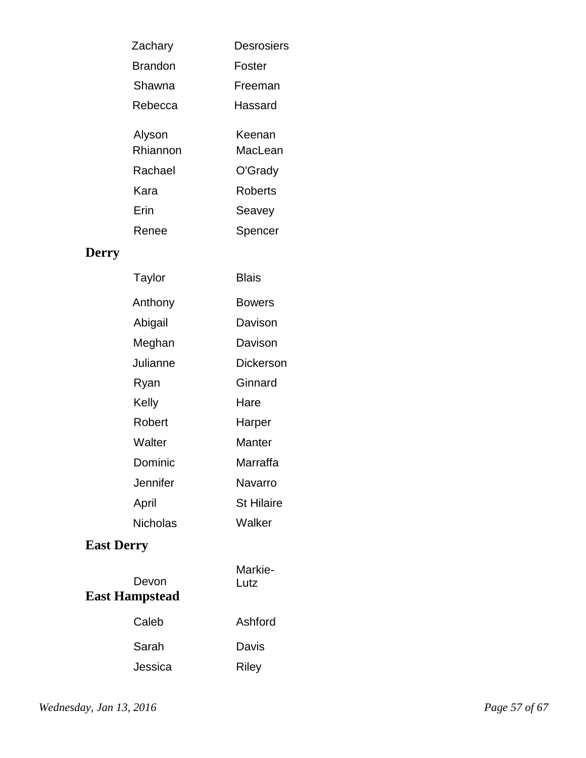| Desrosiers     |
|----------------|
| Foster         |
| Freeman        |
| Hassard        |
| Keenan         |
| MacI ean       |
| O'Grady        |
| <b>Roberts</b> |
| Seavey         |
| Spencer        |
|                |

# **Derry**

| Taylor   | Blais             |
|----------|-------------------|
| Anthony  | Bowers            |
| Abigail  | Davison           |
| Meghan   | Davison           |
| Julianne | Dickerson         |
| Ryan     | Ginnard           |
| Kelly    | Hare              |
| Robert   | Harper            |
| Walter   | Manter            |
| Dominic  | Marraffa          |
| Jennifer | Navarro           |
| April    | <b>St Hilaire</b> |
| Nicholas | Walker            |
|          |                   |

# **East Derry**

| Devon<br><b>East Hampstead</b> | Markie-<br>Lutz |
|--------------------------------|-----------------|
| Caleb                          | Ashford         |
| Sarah                          | Davis           |
| Jessica                        | <b>Riley</b>    |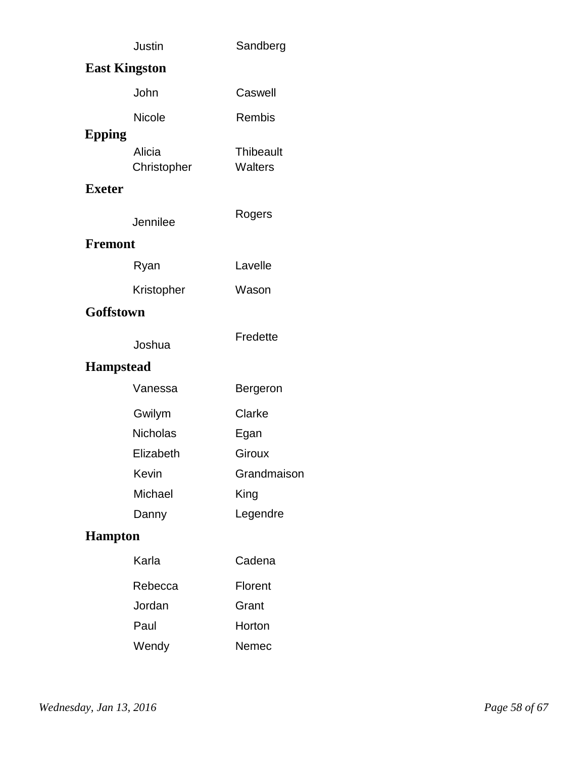|                  | Justin                | Sandberg                    |
|------------------|-----------------------|-----------------------------|
|                  | <b>East Kingston</b>  |                             |
|                  | John                  | Caswell                     |
|                  | Nicole                | Rembis                      |
| <b>Epping</b>    | Alicia<br>Christopher | <b>Thibeault</b><br>Walters |
| <b>Exeter</b>    |                       |                             |
|                  | Jennilee              | Rogers                      |
| <b>Fremont</b>   |                       |                             |
|                  | Ryan                  | Lavelle                     |
|                  | Kristopher            | Wason                       |
| Goffstown        |                       |                             |
|                  | Joshua                | Fredette                    |
| <b>Hampstead</b> |                       |                             |
|                  | Vanessa               | Bergeron                    |
|                  | Gwilym                | Clarke                      |
|                  | <b>Nicholas</b>       | Egan                        |
|                  | Elizabeth             | Giroux                      |
|                  | Kevin                 | Grandmaison                 |
|                  | Michael               | King                        |
|                  | Danny                 | Legendre                    |
| <b>Hampton</b>   |                       |                             |
|                  | Karla                 | Cadena                      |
|                  | Rebecca               | Florent                     |
|                  | Jordan                | Grant                       |
|                  | Paul                  | Horton                      |
|                  | Wendy                 | Nemec                       |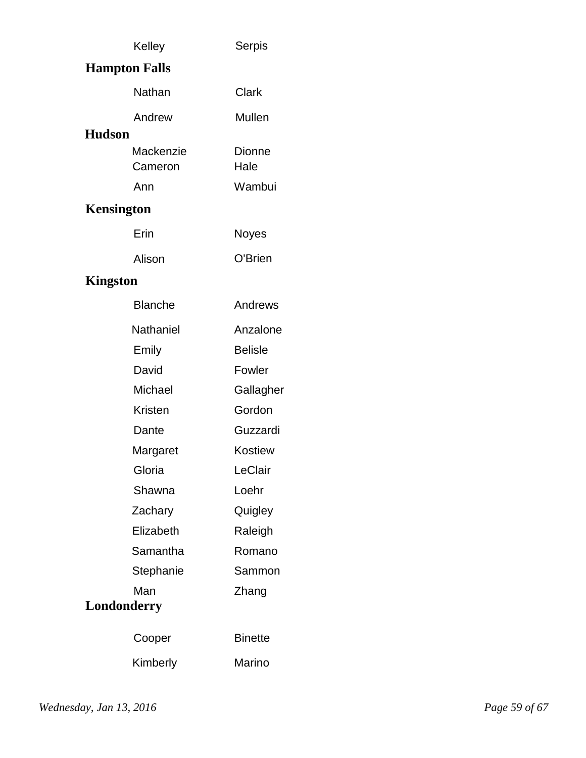|               | Kelley               | Serpis         |
|---------------|----------------------|----------------|
|               | <b>Hampton Falls</b> |                |
|               | Nathan               | Clark          |
|               | Andrew               | Mullen         |
| <b>Hudson</b> |                      |                |
|               | Mackenzie<br>Cameron | Dionne<br>Hale |
|               | Ann                  | Wambui         |
| Kensington    |                      |                |
|               | Erin                 | Noyes          |
|               | Alison               | O'Brien        |

# **Kingston**

| <b>Blanche</b> | Andrews        |
|----------------|----------------|
| Nathaniel      | Anzalone       |
| Emily          | <b>Belisle</b> |
| David          | Fowler         |
| Michael        | Gallagher      |
| Kristen        | Gordon         |
| Dante          | Guzzardi       |
| Margaret       | Kostiew        |
| Gloria         | LeClair        |
| Shawna         | Loehr          |
| Zachary        | Quigley        |
| Elizabeth      | Raleigh        |
| Samantha       | Romano         |
| Stephanie      | Sammon         |
| Man            | Zhang          |
| Londonderry    |                |
| Cooper         | <b>Binette</b> |
| Kimberly       | Marino         |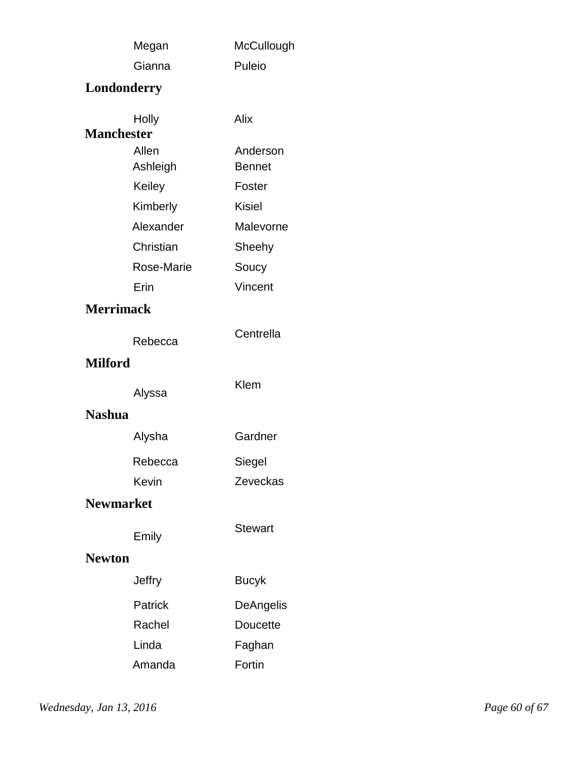|                   | Megan             | McCullough                |
|-------------------|-------------------|---------------------------|
|                   | Gianna            | Puleio                    |
|                   | Londonderry       |                           |
| <b>Manchester</b> | Holly             | Alix                      |
|                   | Allen<br>Ashleigh | Anderson<br><b>Bennet</b> |
|                   | Keiley            | Foster                    |
|                   | Kimberly          | <b>Kisiel</b>             |
|                   | Alexander         | Malevorne                 |
|                   | Christian         | Sheehy                    |
|                   | Rose-Marie        | Soucy                     |
|                   | Erin              | Vincent                   |
| <b>Merrimack</b>  |                   |                           |
|                   | Rebecca           | Centrella                 |
| <b>Milford</b>    |                   |                           |
|                   | Alyssa            | Klem                      |
| <b>Nashua</b>     |                   |                           |
|                   | Alysha            | Gardner                   |
|                   | Rebecca           | Siegel                    |
|                   | Kevin             | Zeveckas                  |
| <b>Newmarket</b>  |                   |                           |
|                   | Emily             | <b>Stewart</b>            |
| <b>Newton</b>     |                   |                           |
|                   | <b>Jeffry</b>     | <b>Bucyk</b>              |
|                   | Patrick           | DeAngelis                 |
|                   | Rachel            | <b>Doucette</b>           |
|                   | Linda             | Faghan                    |
|                   | Amanda            | Fortin                    |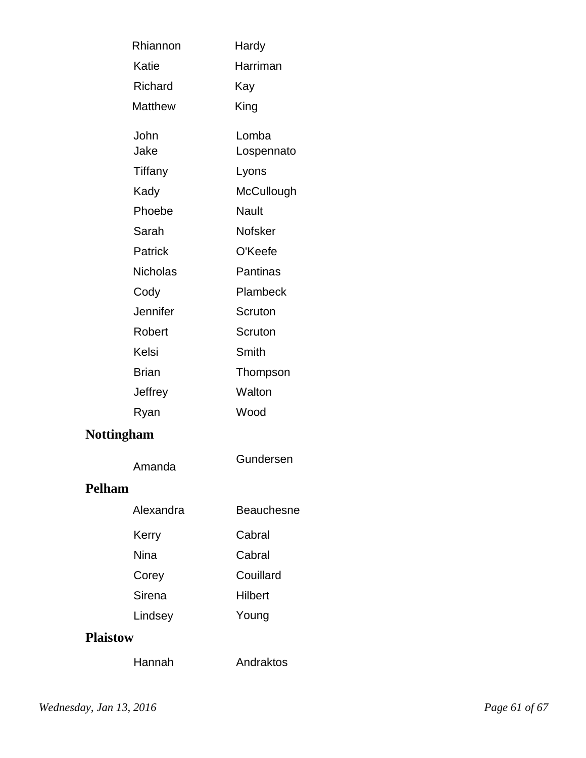| Rhiannon              | Hardy               |
|-----------------------|---------------------|
| Katie                 | Harriman            |
| Richard               | Kay                 |
| <b>Matthew</b>        | King                |
| John<br>Jake          | Lomba<br>Lospennato |
| Tiffany               | Lyons               |
| Kady                  | McCullough          |
| Phoebe                | <b>Nault</b>        |
| Sarah                 | <b>Nofsker</b>      |
| Patrick               | O'Keefe             |
| Nicholas              | Pantinas            |
| Cody                  | Plambeck            |
| Jennifer              | Scruton             |
| Robert                | Scruton             |
| Kelsi                 | Smith               |
| <b>Brian</b>          | Thompson            |
| Jeffrey               | Walton              |
| Ryan                  | Wood                |
| <b>Nottingham</b>     |                     |
| Amanda<br><u>וו ה</u> | Gundersen           |

### **Pelham**

| Alexandra | Beauchesne |
|-----------|------------|
| Kerry     | Cabral     |
| Nina      | Cabral     |
| Corey     | Couillard  |
| Sirena    | Hilbert    |
| Lindsey   | Young      |
|           |            |

### **Plaistow**

Hannah Andraktos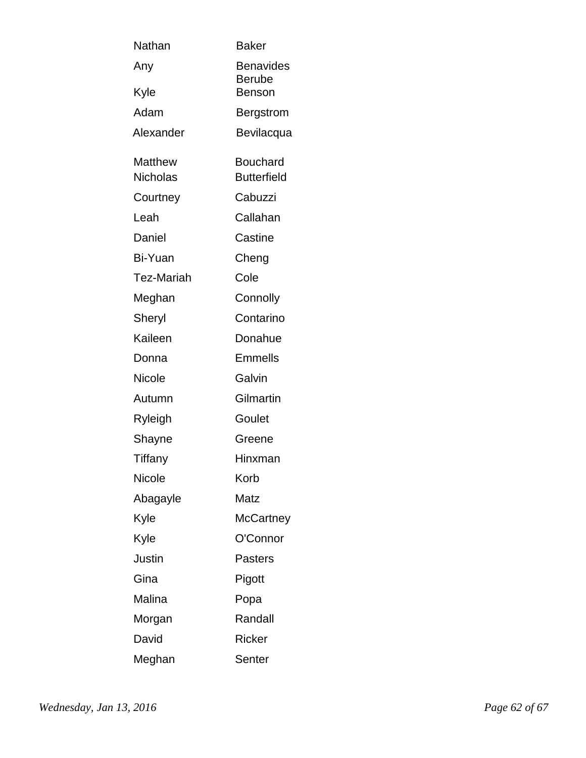| Nathan            | Baker                             |
|-------------------|-----------------------------------|
| Any               | <b>Benavides</b><br><b>Berube</b> |
| Kyle              | <b>Benson</b>                     |
| Adam              | Bergstrom                         |
| Alexander         | Bevilacqua                        |
| <b>Matthew</b>    | <b>Bouchard</b>                   |
| <b>Nicholas</b>   | <b>Butterfield</b>                |
| Courtney          | Cabuzzi                           |
| Leah              | Callahan                          |
| Daniel            | Castine                           |
| Bi-Yuan           | Cheng                             |
| <b>Tez-Mariah</b> | Cole                              |
| Meghan            | Connolly                          |
| Sheryl            | Contarino                         |
| Kaileen           | Donahue                           |
| Donna             | <b>Emmells</b>                    |
| <b>Nicole</b>     | Galvin                            |
| Autumn            | Gilmartin                         |
| Ryleigh           | Goulet                            |
| Shayne            | Greene                            |
| Tiffany           | Hinxman                           |
| Nicole            | Korb                              |
| Abagayle          | Matz                              |
| Kyle              | <b>McCartney</b>                  |
| Kyle              | O'Connor                          |
| Justin            | <b>Pasters</b>                    |
| Gina              | Pigott                            |
| Malina            | Popa                              |
| Morgan            | Randall                           |
| David             | Ricker                            |
| Meghan            | Senter                            |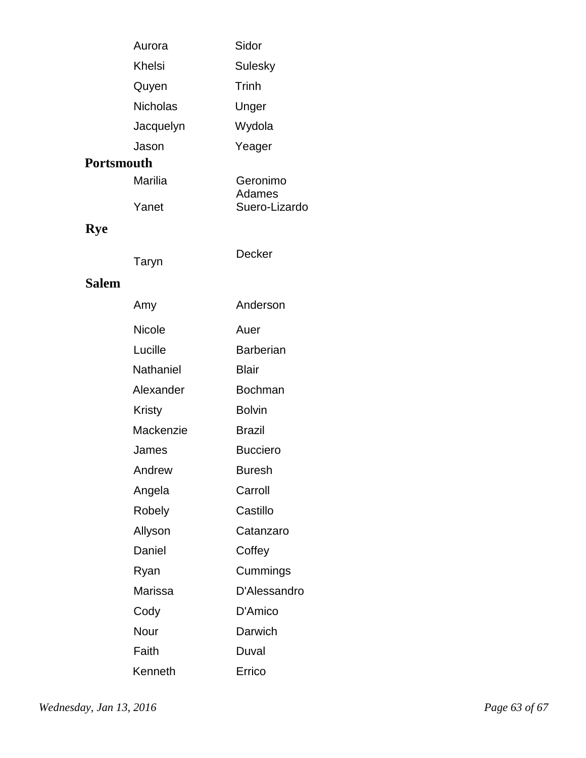| Aurora          | Sidor   |
|-----------------|---------|
| Khelsi          | Sulesky |
| Quyen           | Trinh   |
| <b>Nicholas</b> | Unger   |
| Jacquelyn       | Wydola  |
| Jason           | Yeager  |

### **Portsmouth**

| Marilia | Geronimo      |
|---------|---------------|
|         | Adames        |
| Yanet   | Suero-Lizardo |

# **Rye**

| Taryn | Decker |
|-------|--------|
|       |        |

#### **Salem**

| Amy            | Anderson         |
|----------------|------------------|
| <b>Nicole</b>  | Auer             |
| Lucille        | <b>Barberian</b> |
| Nathaniel      | <b>Blair</b>     |
| Alexander      | Bochman          |
| <b>Kristy</b>  | <b>Bolvin</b>    |
| Mackenzie      | Brazil           |
| James          | <b>Bucciero</b>  |
| Andrew         | Buresh           |
| Angela         | Carroll          |
| Robely         | Castillo         |
| Allyson        | Catanzaro        |
| Daniel         | Coffey           |
| Ryan           | Cummings         |
| <b>Marissa</b> | D'Alessandro     |
| Cody           | D'Amico          |
| Nour           | Darwich          |
| Faith          | Duval            |
| Kenneth        | Errico           |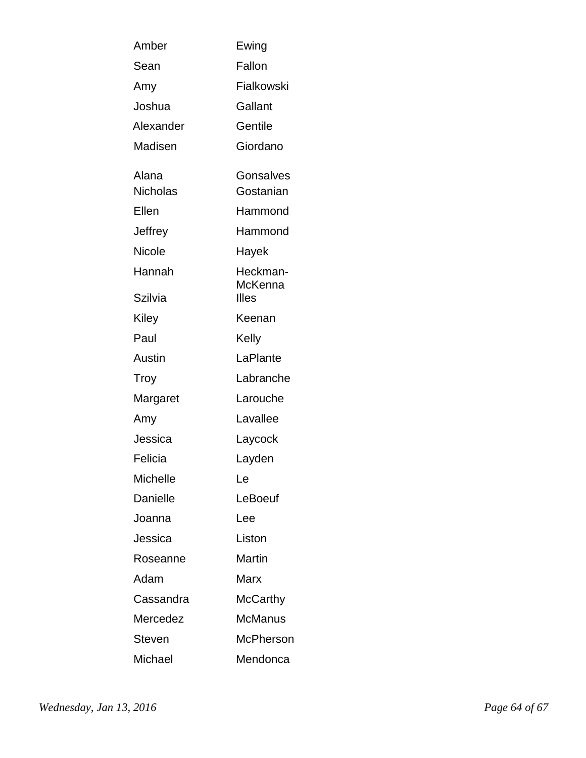| Amber           | Ewing               |
|-----------------|---------------------|
| Sean            | Fallon              |
| Amy             | Fialkowski          |
| Joshua          | Gallant             |
| Alexander       | Gentile             |
| Madisen         | Giordano            |
| Alana           | Gonsalves           |
| <b>Nicholas</b> | Gostanian           |
| Ellen           | Hammond             |
| Jeffrey         | Hammond             |
| <b>Nicole</b>   | Hayek               |
| Hannah          | Heckman-<br>McKenna |
| Szilvia         | Illes               |
| Kiley           | Keenan              |
| Paul            | Kelly               |
| Austin          | LaPlante            |
| Troy            | Labranche           |
| Margaret        | Larouche            |
| Amy             | Lavallee            |
| Jessica         | Laycock             |
| Felicia         | Layden              |
| <b>Michelle</b> | Le                  |
| Danielle        | LeBoeuf             |
| Joanna          | Lee                 |
| Jessica         | Liston              |
| Roseanne        | Martin              |
| Adam            | Marx                |
| Cassandra       | McCarthy            |
| Mercedez        | McManus             |
| Steven          | <b>McPherson</b>    |
| Michael         | Mendonca            |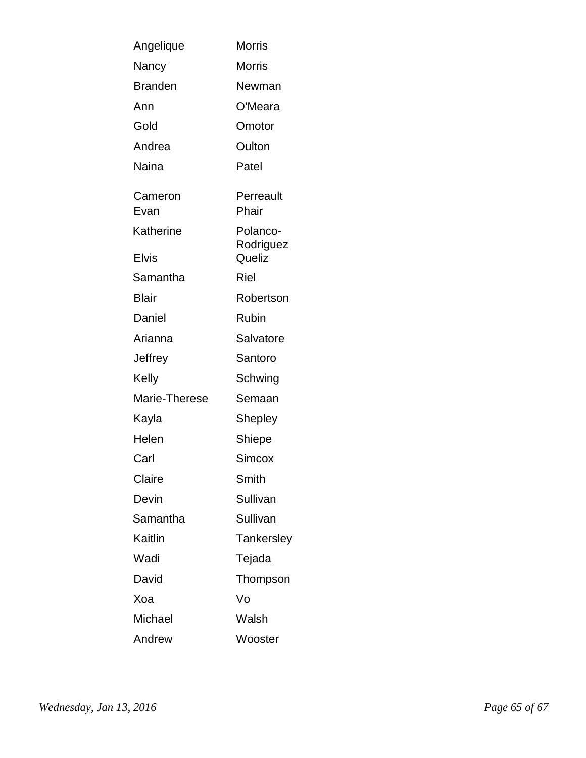| Angelique                 | <b>Morris</b>                   |
|---------------------------|---------------------------------|
| Nancy                     | <b>Morris</b>                   |
| <b>Branden</b>            | Newman                          |
| Ann                       | O'Meara                         |
| Gold                      | Omotor                          |
| Andrea                    | Oulton                          |
| Naina                     | Patel                           |
| Cameron<br>Evan           | Perreault<br>Phair              |
| Katherine<br><b>Elvis</b> | Polanco-<br>Rodriguez<br>Queliz |
| Samantha                  | Riel                            |
| <b>Blair</b>              | Robertson                       |
| Daniel                    | Rubin                           |
| Arianna                   | Salvatore                       |
| Jeffrey                   | Santoro                         |
| Kelly                     | Schwing                         |
| Marie-Therese             | Semaan                          |
| Kayla                     | Shepley                         |
| Helen                     | Shiepe                          |
| Carl                      | <b>Simcox</b>                   |
| Claire                    | Smith                           |
| Devin                     | Sullivan                        |
| Samantha                  | Sullivan                        |
| Kaitlin                   | Tankersley                      |
| Wadi                      | Tejada                          |
| David                     | Thompson                        |
| Xoa                       | Vo                              |
| Michael                   | Walsh                           |
| Andrew                    | Wooster                         |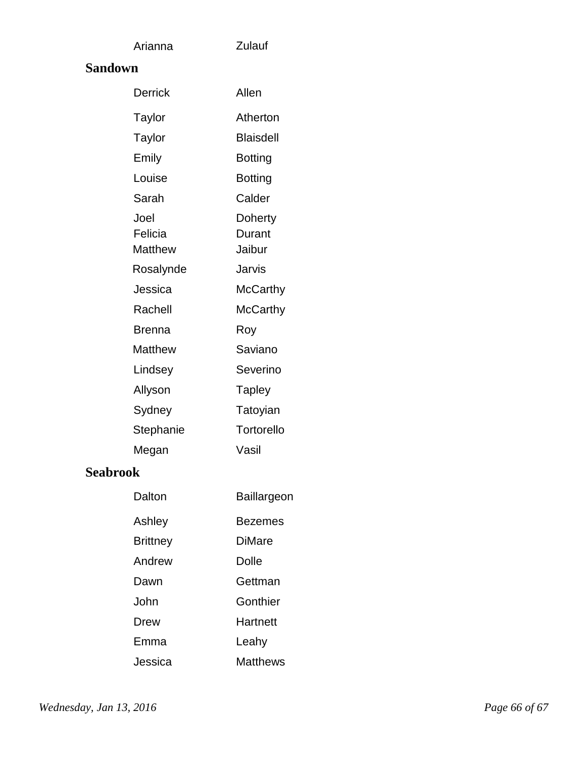# Arianna **Sandown**

| Derrick                           | Allen                       |
|-----------------------------------|-----------------------------|
| Taylor                            | Atherton                    |
| Taylor                            | Blaisdell                   |
| Emily                             | Botting                     |
| Louise                            | Botting                     |
| Sarah                             | Calder                      |
| Joel<br>Felicia<br><b>Matthew</b> | Doherty<br>Durant<br>Jaibur |
| Rosalynde                         | Jarvis                      |
| Jessica                           | McCarthy                    |
| Rachell                           | McCarthy                    |
| Brenna                            | Roy                         |
| Matthew                           | Saviano                     |
| Lindsey                           | Severino                    |
| Allyson                           | <b>Tapley</b>               |
| Sydney                            | Tatoyian                    |
| Stephanie                         | Tortorello                  |
| Megan                             | Vasil                       |

Zulauf

# **Seabrook**

| Dalton          | Baillargeon     |
|-----------------|-----------------|
| Ashley          | Bezemes         |
| <b>Brittney</b> | DiMare          |
| Andrew          | Dolle           |
| Dawn            | Gettman         |
| .John           | Gonthier        |
| Drew            | Hartnett        |
| Emma            | Leahy           |
| Jessica         | <b>Matthews</b> |